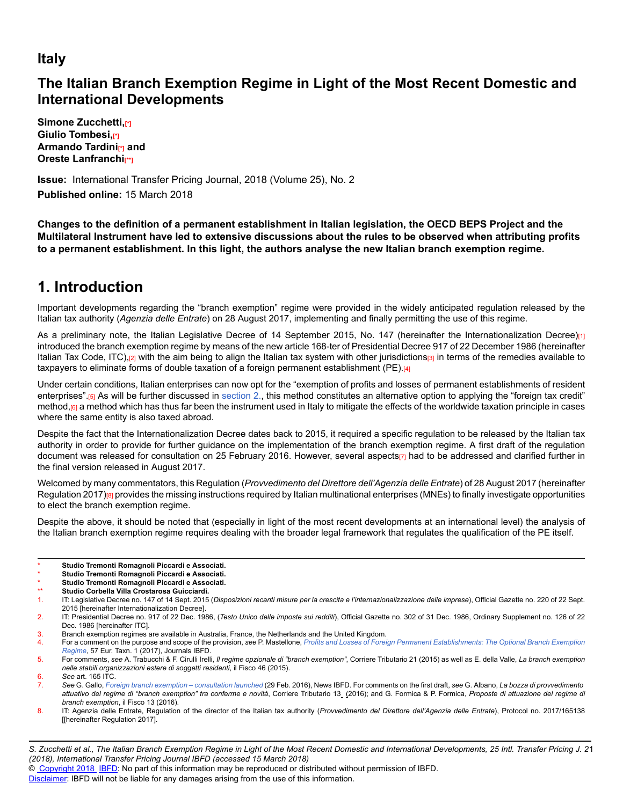## **Italy**

## **The Italian Branch Exemption Regime in Light of the Most Recent Domestic and International Developments**

**Simone Zucchetti,[\*] Giulio Tombesi,**<sup>11</sup> **Armando Tardini[\*] and Oreste Lanfranchi[\*\*]**

**Issue:** International Transfer Pricing Journal, 2018 (Volume 25), No. 2 **Published online:** 15 March 2018

**Changes to the definition of a permanent establishment in Italian legislation, the OECD BEPS Project and the Multilateral Instrument have led to extensive discussions about the rules to be observed when attributing profits to a permanent establishment. In this light, the authors analyse the new Italian branch exemption regime.**

# **1. Introduction**

Important developments regarding the "branch exemption" regime were provided in the widely anticipated regulation released by the Italian tax authority (*Agenzia delle Entrate*) on 28 August 2017, implementing and finally permitting the use of this regime.

As a preliminary note, the Italian Legislative Decree of 14 September 2015, No. 147 (hereinafter the Internationalization Decree)[1] introduced the branch exemption regime by means of the new article 168-ter of Presidential Decree 917 of 22 December 1986 (hereinafter Italian Tax Code, ITC),[2] with the aim being to align the Italian tax system with other jurisdictions[3] in terms of the remedies available to taxpayers to eliminate forms of double taxation of a foreign permanent establishment (PE).[4]

Under certain conditions, Italian enterprises can now opt for the "exemption of profits and losses of permanent establishments of resident enterprises".[5] As will be further discussed in [section 2.,](http://online.ibfd.org/kbase/#topic=doc&url=/linkresolver/static/itpj_2018_02_it_1_s_2&&WT.z_nav=crosslinks) this method constitutes an alternative option to applying the "foreign tax credit" method, [6] a method which has thus far been the instrument used in Italy to mitigate the effects of the worldwide taxation principle in cases where the same entity is also taxed abroad.

Despite the fact that the Internationalization Decree dates back to 2015, it required a specific regulation to be released by the Italian tax authority in order to provide for further guidance on the implementation of the branch exemption regime. A first draft of the regulation document was released for consultation on 25 February 2016. However, several aspects[7] had to be addressed and clarified further in the final version released in August 2017.

Welcomed by many commentators, this Regulation (*Provvedimento del Direttore dell'Agenzia delle Entrate*) of 28 August 2017 (hereinafter Regulation 2017)[8] provides the missing instructions required by Italian multinational enterprises (MNEs) to finally investigate opportunities to elect the branch exemption regime.

Despite the above, it should be noted that (especially in light of the most recent developments at an international level) the analysis of the Italian branch exemption regime requires dealing with the broader legal framework that regulates the qualification of the PE itself.

- Studio Tremonti Romagnoli Piccardi e Associati.
- Studio Tremonti Romagnoli Piccardi e Associati.
- Studio Tremonti Romagnoli Piccardi e Associati.
- Studio Corbella Villa Crostarosa Guicciardi.

3. Branch exemption regimes are available in Australia, France, the Netherlands and the United Kingdom.

*S. Zucchetti et al., The Italian Branch Exemption Regime in Light of the Most Recent Domestic and International Developments, 25 Intl. Transfer Pricing J. 2* 1 *(2018), International Transfer Pricing Journal IBFD (accessed 15 March 2018)*

© [Copyright 2018](http://www.ibfd.org/Copyright-IBFD) [IBFD:](http://www.ibfd.org) No part of this information may be reproduced or distributed without permission of IBFD.

<sup>1.</sup> IT: Legislative Decree no. 147 of 14 Sept. 2015 (*Disposizioni recanti misure per la crescita e l'internazionalizzazione delle imprese*), Official Gazette no. 220 of 22 Sept. 2015 [hereinafter Internationalization Decree].

<sup>2.</sup> IT: Presidential Decree no. 917 of 22 Dec. 1986, (*Testo Unico delle imposte sui redditi*), Official Gazette no. 302 of 31 Dec. 1986, Ordinary Supplement no. 126 of 22 Dec. 1986 [hereinafter ITC].

<sup>4.</sup> For a comment on the purpose and scope of the provision, *see* P. Mastellone, *[Profits and Losses of Foreign Permanent Establishments: The Optional Branch Exemption](http://online.ibfd.org/kbase/#topic=doc&url=/linkresolver/static/et_2017_01_it_1&&WT.z_nav=crosslinks) [Regime](http://online.ibfd.org/kbase/#topic=doc&url=/linkresolver/static/et_2017_01_it_1&&WT.z_nav=crosslinks)*, 57 Eur. Taxn. 1 (2017), Journals IBFD.

<sup>5.</sup> For comments, *see* A. Trabucchi & F. Cirulli Irelli, *Il regime opzionale di "branch exemption"*, Corriere Tributario 21 (2015) as well as E. della Valle, *La branch exemption nelle stabili organizzazioni estere di soggetti residenti*, il Fisco 46 (2015).

<sup>6.</sup> *See* art. 165 ITC.

<sup>7.</sup> *See* G. Gallo, *[Foreign branch exemption – consultation launched](http://online.ibfd.org/kbase/#topic=doc&url=/linkresolver/static/tns_2016-02-29_it_1&&WT.z_nav=crosslinks)* (29 Feb. 2016), News IBFD. For comments on the first draft, *see* G. Albano, *La bozza di provvedimento attuativo del regime di "branch exemption" tra conferme e novità*, Corriere Tributario 13 (2016); and G. Formica & P. Formica, *Proposte di attuazione del regime di branch exemption*, il Fisco 13 (2016).

<sup>8.</sup> IT: Agenzia delle Entrate, Regulation of the director of the Italian tax authority (*Provvedimento del Direttore dell'Agenzia delle Entrate*), Protocol no. 2017/165138 [[hereinafter Regulation 2017].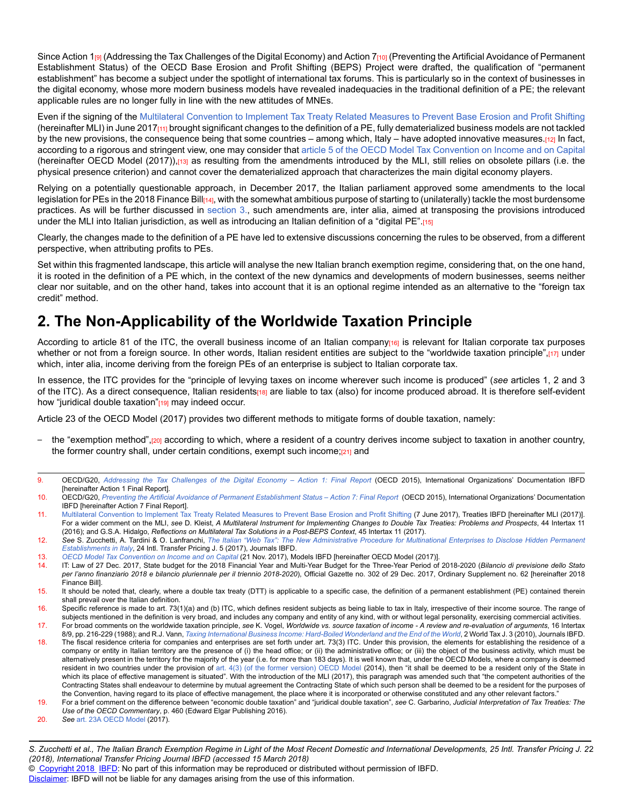Since Action 1<sub>[9]</sub> (Addressing the Tax Challenges of the Digital Economy) and Action 7<sub>[10]</sub> (Preventing the Artificial Avoidance of Permanent Establishment Status) of the OECD Base Erosion and Profit Shifting (BEPS) Project were drafted, the qualification of "permanent establishment" has become a subject under the spotlight of international tax forums. This is particularly so in the context of businesses in the digital economy, whose more modern business models have revealed inadequacies in the traditional definition of a PE; the relevant applicable rules are no longer fully in line with the new attitudes of MNEs.

Even if the signing of th[e Multilateral Convention to Implement Tax Treaty Related Measures to Prevent Base Erosion and Profit Shifting](http://online.ibfd.org/kbase/#topic=doc&url=/linkresolver/static/tt_o2_02_eng_2016_tt__td1&&WT.z_nav=crosslinks) (hereinafter MLI) in June 2017[11] brought significant changes to the definition of a PE, fully dematerialized business models are not tackled by the new provisions, the consequence being that some countries – among which, Italy – have adopted innovative measures.[12] In fact, according to a rigorous and stringent view, one may consider that [article 5 of the OECD Model Tax Convention on Income and on Capital](http://online.ibfd.org/kbase/#topic=doc&url=/linkresolver/static/tt_o2_02_eng_2017_mo__td1_a5&&WT.z_nav=crosslinks) (hereinafter OECD Model (2017)),[13] as resulting from the amendments introduced by the MLI, still relies on obsolete pillars (i.e. the physical presence criterion) and cannot cover the dematerialized approach that characterizes the main digital economy players.

Relying on a potentially questionable approach, in December 2017, the Italian parliament approved some amendments to the local legislation for PEs in the 2018 Finance Bill<sub>[14]</sub>, with the somewhat ambitious purpose of starting to (unilaterally) tackle the most burdensome practices. As will be further discussed in [section 3.](http://online.ibfd.org/kbase/#topic=doc&url=/linkresolver/static/itpj_2018_02_it_1_s_3&&WT.z_nav=crosslinks), such amendments are, inter alia, aimed at transposing the provisions introduced under the MLI into Italian jurisdiction, as well as introducing an Italian definition of a "digital PE".[15]

Clearly, the changes made to the definition of a PE have led to extensive discussions concerning the rules to be observed, from a different perspective, when attributing profits to PEs.

Set within this fragmented landscape, this article will analyse the new Italian branch exemption regime, considering that, on the one hand, it is rooted in the definition of a PE which, in the context of the new dynamics and developments of modern businesses, seems neither clear nor suitable, and on the other hand, takes into account that it is an optional regime intended as an alternative to the "foreign tax credit" method.

# **2. The Non-Applicability of the Worldwide Taxation Principle**

According to article 81 of the ITC, the overall business income of an Italian company<sub>[16]</sub> is relevant for Italian corporate tax purposes whether or not from a foreign source. In other words, Italian resident entities are subject to the "worldwide taxation principle",[17] under which, inter alia, income deriving from the foreign PEs of an enterprise is subject to Italian corporate tax.

In essence, the ITC provides for the "principle of levying taxes on income wherever such income is produced" (*see* articles 1, 2 and 3 of the ITC). As a direct consequence, Italian residents<sup>[18]</sup> are liable to tax (also) for income produced abroad. It is therefore self-evident how "juridical double taxation"<sup>[19]</sup> may indeed occur.

Article 23 of the OECD Model (2017) provides two different methods to mitigate forms of double taxation, namely:

- the "exemption method",[20] according to which, where a resident of a country derives income subject to taxation in another country, the former country shall, under certain conditions, exempt such income;[21] and
- 9. OECD/G20, *[Addressing the Tax Challenges of the Digital Economy Action 1: Final Report](http://online.ibfd.org/kbase/#topic=doc&url=/linkresolver/static/oecd_beps_action_1_final_report_2015&&WT.z_nav=crosslinks)* (OECD 2015), International Organizations' Documentation IBFD [hereinafter Action 1 Final Report].
- 10. OECD/G20, *[Preventing the Artificial Avoidance of Permanent Establishment Status Action 7: Final Report](http://online.ibfd.org/kbase/#topic=doc&url=/linkresolver/static/oecd_beps_action_7_final_report_2015?WT.z_nav=crosslinks&&WT.z_nav=crosslinks)* (OECD 2015), International Organizations' Documentation IBFD [hereinafter Action 7 Final Report].
- 11. [Multilateral Convention to Implement Tax Treaty Related Measures to Prevent Base Erosion and Profit Shifting](http://online.ibfd.org/kbase/#topic=doc&url=/linkresolver/static/tt_o2_02_eng_2016_tt__td1&&WT.z_nav=crosslinks) (7 June 2017), Treaties IBFD [hereinafter MLI (2017)]. For a wider comment on the MLI, *see* D. Kleist, *A Multilateral Instrument for Implementing Changes to Double Tax Treaties: Problems and Prospects*, 44 Intertax 11 (2016); and G.S.A. Hidalgo, *Reflections on Multilateral Tax Solutions in a Post-BEPS Context*, 45 Intertax 11 (2017).
- 12. *See* S. Zucchetti, A. Tardini & O. Lanfranchi, *[The Italian "Web Tax": The New Administrative Procedure for Multinational Enterprises to Disclose Hidden Permanent](http://online.ibfd.org/kbase/#topic=doc&url=/linkresolver/static/itpj_2017_05_it_1&&WT.z_nav=crosslinks) [Establishments in Italy](http://online.ibfd.org/kbase/#topic=doc&url=/linkresolver/static/itpj_2017_05_it_1&&WT.z_nav=crosslinks)*, 24 Intl. Transfer Pricing J. 5 (2017), Journals IBFD.
- 13. *OECD Model Tax Convention on Income and on Capital* (21 Nov. 2017), Models IBFD [hereinafter OECD Model (2017)].
- 14. IT: Law of 27 Dec. 2017, State budget for the 2018 Financial Year and Multi-Year Budget for the Three-Year Period of 2018-2020 (*Bilancio di previsione dello Stato per l'anno finanziario 2018 e bilancio pluriennale per il triennio 2018-2020*), Official Gazette no. 302 of 29 Dec. 2017, Ordinary Supplement no. 62 [hereinafter 2018 Finance Bill].
- 15. It should be noted that, clearly, where a double tax treaty (DTT) is applicable to a specific case, the definition of a permanent establishment (PE) contained therein shall prevail over the Italian definition.
- 16. Specific reference is made to art. 73(1)(a) and (b) ITC, which defines resident subjects as being liable to tax in Italy, irrespective of their income source. The range of subjects mentioned in the definition is very broad, and includes any company and entity of any kind, with or without legal personality, exercising commercial activities. 17. For broad comments on the worldwide taxation principle, *see* K. Vogel, *Worldwide vs. source taxation of income - A review and re-evaluation of arguments*, 16 Intertax
- 8/9, pp. 216-229 (1988); and R.J. Vann, *[Taxing International Business Income: Hard-Boiled Wonderland and the End of the World](http://online.ibfd.org/kbase/#topic=doc&url=/linkresolver/static/wtj_2010_03_int_2&&WT.z_nav=crosslinks)*, 2 World Tax J. 3 (2010), Journals IBFD. 18. The fiscal residence criteria for companies and enterprises are set forth under art. 73(3) ITC. Under this provision, the elements for establishing the residence of a
- company or entity in Italian territory are the presence of (i) the head office; or (ii) the administrative office; or (iii) the object of the business activity, which must be alternatively present in the territory for the majority of the year (i.e. for more than 183 days). It is well known that, under the OECD Models, where a company is deemed resident in two countries under the provision of [art. 4\(3\) \(of the former version\) OECD Model](http://online.ibfd.org/kbase/#topic=doc&url=/linkresolver/static/tt_o2_02_eng_2014_mo__td1_a4&&WT.z_nav=crosslinks) (2014), then "it shall be deemed to be a resident only of the State in which its place of effective management is situated". With the introduction of the MLI (2017), this paragraph was amended such that "the competent authorities of the Contracting States shall endeavour to determine by mutual agreement the Contracting State of which such person shall be deemed to be a resident for the purposes of the Convention, having regard to its place of effective management, the place where it is incorporated or otherwise constituted and any other relevant factors."
- 19. For a brief comment on the difference between "economic double taxation" and "juridical double taxation", *see* C. Garbarino, *Judicial Interpretation of Tax Treaties: The Use of the OECD Commentary*, p. 460 (Edward Elgar Publishing 2016).
- 20. *See* [art. 23A OECD Model](http://online.ibfd.org/kbase/#topic=doc&url=/linkresolver/static/tt_o2_02_eng_2017_mo__td1_a23a&&WT.z_nav=crosslinks) (2017).

© [Copyright 2018](http://www.ibfd.org/Copyright-IBFD) [IBFD:](http://www.ibfd.org) No part of this information may be reproduced or distributed without permission of IBFD.

*S. Zucchetti et al., The Italian Branch Exemption Regime in Light of the Most Recent Domestic and International Developments, 25 Intl. Transfer Pricing J. 2* 2 *(2018), International Transfer Pricing Journal IBFD (accessed 15 March 2018)*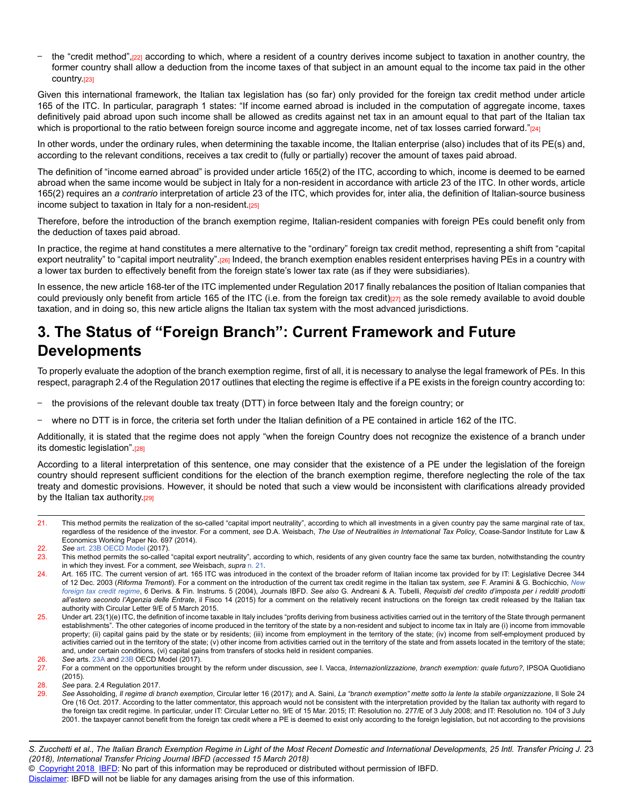the "credit method",<sub>[22]</sub> according to which, where a resident of a country derives income subject to taxation in another country, the former country shall allow a deduction from the income taxes of that subject in an amount equal to the income tax paid in the other country.[23]

Given this international framework, the Italian tax legislation has (so far) only provided for the foreign tax credit method under article 165 of the ITC. In particular, paragraph 1 states: "If income earned abroad is included in the computation of aggregate income, taxes definitively paid abroad upon such income shall be allowed as credits against net tax in an amount equal to that part of the Italian tax which is proportional to the ratio between foreign source income and aggregate income, net of tax losses carried forward."[24]

In other words, under the ordinary rules, when determining the taxable income, the Italian enterprise (also) includes that of its PE(s) and, according to the relevant conditions, receives a tax credit to (fully or partially) recover the amount of taxes paid abroad.

The definition of "income earned abroad" is provided under article 165(2) of the ITC, according to which, income is deemed to be earned abroad when the same income would be subject in Italy for a non-resident in accordance with article 23 of the ITC. In other words, article 165(2) requires an *a contrario* interpretation of article 23 of the ITC, which provides for, inter alia, the definition of Italian-source business income subject to taxation in Italy for a non-resident. $[25]$ 

Therefore, before the introduction of the branch exemption regime, Italian-resident companies with foreign PEs could benefit only from the deduction of taxes paid abroad.

In practice, the regime at hand constitutes a mere alternative to the "ordinary" foreign tax credit method, representing a shift from "capital export neutrality" to "capital import neutrality".<sub>[26]</sub> Indeed, the branch exemption enables resident enterprises having PEs in a country with a lower tax burden to effectively benefit from the foreign state's lower tax rate (as if they were subsidiaries).

In essence, the new article 168-ter of the ITC implemented under Regulation 2017 finally rebalances the position of Italian companies that could previously only benefit from article 165 of the ITC (i.e. from the foreign tax credit)[27] as the sole remedy available to avoid double taxation, and in doing so, this new article aligns the Italian tax system with the most advanced jurisdictions.

# **3. The Status of "Foreign Branch": Current Framework and Future Developments**

To properly evaluate the adoption of the branch exemption regime, first of all, it is necessary to analyse the legal framework of PEs. In this respect, paragraph 2.4 of the Regulation 2017 outlines that electing the regime is effective if a PE exists in the foreign country according to:

- the provisions of the relevant double tax treaty (DTT) in force between Italy and the foreign country; or
- where no DTT is in force, the criteria set forth under the Italian definition of a PE contained in article 162 of the ITC.

Additionally, it is stated that the regime does not apply "when the foreign Country does not recognize the existence of a branch under its domestic legislation".[28]

According to a literal interpretation of this sentence, one may consider that the existence of a PE under the legislation of the foreign country should represent sufficient conditions for the election of the branch exemption regime, therefore neglecting the role of the tax treaty and domestic provisions. However, it should be noted that such a view would be inconsistent with clarifications already provided by the Italian tax authority.<sup>[29]</sup>

21. This method permits the realization of the so-called "capital import neutrality", according to which all investments in a given country pay the same marginal rate of tax, regardless of the residence of the investor. For a comment, *see* D.A. Weisbach, *The Use of Neutralities in International Tax Policy*, Coase-Sandor Institute for Law & Economics Working Paper No. 697 (2014).

© [Copyright 2018](http://www.ibfd.org/Copyright-IBFD) [IBFD:](http://www.ibfd.org) No part of this information may be reproduced or distributed without permission of IBFD.

<sup>22.</sup> *See* [art. 23B OECD Model](http://online.ibfd.org/kbase/#topic=doc&url=/linkresolver/static/tt_o2_02_eng_2017_mo__td1_a23b&&WT.z_nav=crosslinks) (2017).

<sup>23.</sup> This method permits the so-called "capital export neutrality", according to which, residents of any given country face the same tax burden, notwithstanding the country in which they invest. For a comment, *see* Weisbach, *supra* [n. 21](http://online.ibfd.org/kbase/#topic=doc&url=/linkresolver/static/itpj_2018_02_it_1_fn_21&&WT.z_nav=crosslinks).

<sup>24.</sup> Art. 165 ITC. The current version of art. 165 ITC was introduced in the context of the broader reform of Italian income tax provided for by IT: Legislative Decree 344 of 12 Dec. 2003 (*Riforma Tremonti*). For a comment on the introduction of the current tax credit regime in the Italian tax system, *see* F. Aramini & G. Bochicchio, *[New](http://online.ibfd.org/kbase/#topic=doc&url=/linkresolver/static/dfi050406&&WT.z_nav=crosslinks) [foreign tax credit regime](http://online.ibfd.org/kbase/#topic=doc&url=/linkresolver/static/dfi050406&&WT.z_nav=crosslinks)*, 6 Derivs. & Fin. Instrums. 5 (2004), Journals IBFD. *See also* G. Andreani & A. Tubelli, *Requisiti del credito d'imposta per i redditi prodotti all'estero secondo l'Agenzia delle Entrate*, il Fisco 14 (2015) for a comment on the relatively recent instructions on the foreign tax credit released by the Italian tax authority with Circular Letter 9/E of 5 March 2015.

 $25.$  Under art. 23(1)(e) ITC, the definition of income taxable in Italy includes "profits deriving from business activities carried out in the territory of the State through permanent establishments". The other categories of income produced in the territory of the state by a non-resident and subject to income tax in Italy are (i) income from immovable property; (ii) capital gains paid by the state or by residents; (iii) income from employment in the territory of the state; (iv) income from self-employment produced by activities carried out in the territory of the state; (v) other income from activities carried out in the territory of the state and from assets located in the territory of the state; and, under certain conditions, (vi) capital gains from transfers of stocks held in resident companies.

<sup>26.</sup> *See* arts. [23A](http://online.ibfd.org/kbase/#topic=doc&url=/linkresolver/static/tt_o2_02_eng_2017_mo__td1_a23a&&WT.z_nav=crosslinks) and [23B](http://online.ibfd.org/kbase/#topic=doc&url=/linkresolver/static/tt_o2_02_eng_2017_mo__td1_a23b&&WT.z_nav=crosslinks) OECD Model (2017).

<sup>27.</sup> For a comment on the opportunities brought by the reform under discussion, *see* I. Vacca, *Internazionlizzazione, branch exemption: quale futuro?*, IPSOA Quotidiano (2015).

<sup>28.</sup> *See* para. 2.4 Regulation 2017.

<sup>29.</sup> *See* Assoholding, *Il regime di branch exemption*, Circular letter 16 (2017); and A. Saini, *La "branch exemption" mette sotto la lente la stabile organizzazione*, Il Sole 24 Ore (16 Oct. 2017. According to the latter commentator, this approach would not be consistent with the interpretation provided by the Italian tax authority with regard to the foreign tax credit regime. In particular, under IT: Circular Letter no. 9/E of 15 Mar. 2015; IT: Resolution no. 277/E of 3 July 2008; and IT: Resolution no. 104 of 3 July 2001. the taxpayer cannot benefit from the foreign tax credit where a PE is deemed to exist only according to the foreign legislation, but not according to the provisions

*S. Zucchetti et al., The Italian Branch Exemption Regime in Light of the Most Recent Domestic and International Developments, 25 Intl. Transfer Pricing J. 2* 3 *(2018), International Transfer Pricing Journal IBFD (accessed 15 March 2018)*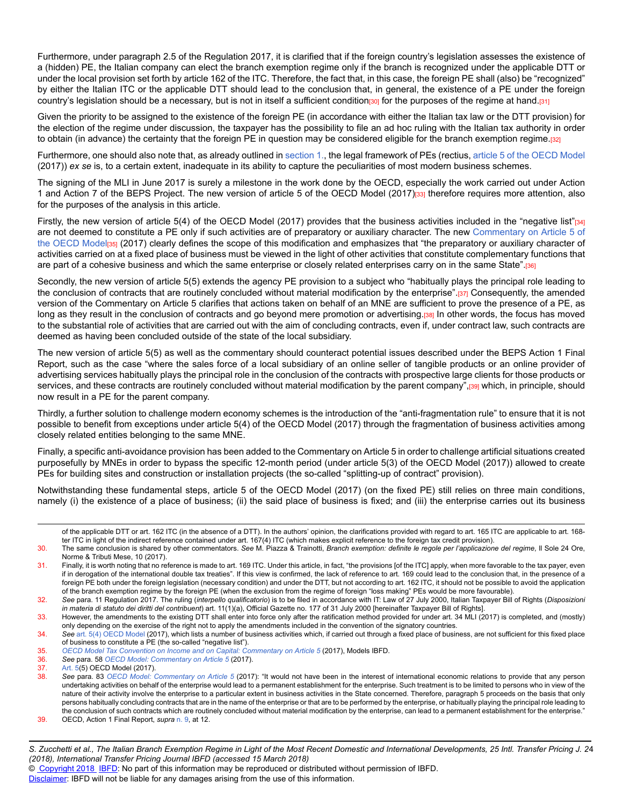Furthermore, under paragraph 2.5 of the Regulation 2017, it is clarified that if the foreign country's legislation assesses the existence of a (hidden) PE, the Italian company can elect the branch exemption regime only if the branch is recognized under the applicable DTT or under the local provision set forth by article 162 of the ITC. Therefore, the fact that, in this case, the foreign PE shall (also) be "recognized" by either the Italian ITC or the applicable DTT should lead to the conclusion that, in general, the existence of a PE under the foreign country's legislation should be a necessary, but is not in itself a sufficient condition[30] for the purposes of the regime at hand.[31]

Given the priority to be assigned to the existence of the foreign PE (in accordance with either the Italian tax law or the DTT provision) for the election of the regime under discussion, the taxpayer has the possibility to file an ad hoc ruling with the Italian tax authority in order to obtain (in advance) the certainty that the foreign PE in question may be considered eligible for the branch exemption regime.[32]

Furthermore, one should also note that, as already outlined in [section 1.](http://online.ibfd.org/kbase/#topic=doc&url=/linkresolver/static/itpj_2018_02_it_1_s_1&&WT.z_nav=crosslinks), the legal framework of PEs (rectius, [article 5 of the OECD Model](http://online.ibfd.org/kbase/#topic=doc&url=/linkresolver/static/tt_o2_02_eng_2017_mo__td1_a5&&WT.z_nav=crosslinks) (2017)) *ex se* is, to a certain extent, inadequate in its ability to capture the peculiarities of most modern business schemes.

The signing of the MLI in June 2017 is surely a milestone in the work done by the OECD, especially the work carried out under Action 1 and Action 7 of the BEPS Project. The new version of article 5 of the OECD Model (2017)[33] therefore requires more attention, also for the purposes of the analysis in this article.

Firstly, the new version of article 5(4) of the OECD Model (2017) provides that the business activities included in the "negative list"[34] are not deemed to constitute a PE only if such activities are of preparatory or auxiliary character. The new [Commentary on Article 5 of](http://online.ibfd.org/kbase/#topic=doc&url=/linkresolver/static/tt_o2_02_eng_2017_mo__td2_a5&&WT.z_nav=crosslinks) [the OECD Model](http://online.ibfd.org/kbase/#topic=doc&url=/linkresolver/static/tt_o2_02_eng_2017_mo__td2_a5&&WT.z_nav=crosslinks)<sub>[35]</sub> (2017) clearly defines the scope of this modification and emphasizes that "the preparatory or auxiliary character of activities carried on at a fixed place of business must be viewed in the light of other activities that constitute complementary functions that are part of a cohesive business and which the same enterprise or closely related enterprises carry on in the same State".[36]

Secondly, the new version of article 5(5) extends the agency PE provision to a subject who "habitually plays the principal role leading to the conclusion of contracts that are routinely concluded without material modification by the enterprise".[37] Consequently, the amended version of the Commentary on Article 5 clarifies that actions taken on behalf of an MNE are sufficient to prove the presence of a PE, as long as they result in the conclusion of contracts and go beyond mere promotion or advertising.[38] In other words, the focus has moved to the substantial role of activities that are carried out with the aim of concluding contracts, even if, under contract law, such contracts are deemed as having been concluded outside of the state of the local subsidiary.

The new version of article 5(5) as well as the commentary should counteract potential issues described under the BEPS Action 1 Final Report, such as the case "where the sales force of a local subsidiary of an online seller of tangible products or an online provider of advertising services habitually plays the principal role in the conclusion of the contracts with prospective large clients for those products or services, and these contracts are routinely concluded without material modification by the parent company",[39] which, in principle, should now result in a PE for the parent company.

Thirdly, a further solution to challenge modern economy schemes is the introduction of the "anti-fragmentation rule" to ensure that it is not possible to benefit from exceptions under article 5(4) of the OECD Model (2017) through the fragmentation of business activities among closely related entities belonging to the same MNE.

Finally, a specific anti-avoidance provision has been added to the Commentary on Article 5 in order to challenge artificial situations created purposefully by MNEs in order to bypass the specific 12-month period (under article 5(3) of the OECD Model (2017)) allowed to create PEs for building sites and construction or installation projects (the so-called "splitting-up of contract" provision).

Notwithstanding these fundamental steps, article 5 of the OECD Model (2017) (on the fixed PE) still relies on three main conditions, namely (i) the existence of a place of business; (ii) the said place of business is fixed; and (iii) the enterprise carries out its business

© [Copyright 2018](http://www.ibfd.org/Copyright-IBFD) [IBFD:](http://www.ibfd.org) No part of this information may be reproduced or distributed without permission of IBFD.

of the applicable DTT or art. 162 ITC (in the absence of a DTT). In the authors' opinion, the clarifications provided with regard to art. 165 ITC are applicable to art. 168 ter ITC in light of the indirect reference contained under art. 167(4) ITC (which makes explicit reference to the foreign tax credit provision).

<sup>30.</sup> The same conclusion is shared by other commentators. *See* M. Piazza & Trainotti, *Branch exemption: definite le regole per l'applicazione del regime*, Il Sole 24 Ore, Norme & Tributi Mese, 10 (2017).

<sup>31.</sup> Finally, it is worth noting that no reference is made to art. 169 ITC. Under this article, in fact, "the provisions [of the ITC] apply, when more favorable to the tax payer, even if in derogation of the international double tax treaties". If this view is confirmed, the lack of reference to art. 169 could lead to the conclusion that, in the presence of a foreign PE both under the foreign legislation (necessary condition) and under the DTT, but not according to art. 162 ITC, it should not be possible to avoid the application of the branch exemption regime by the foreign PE (when the exclusion from the regime of foreign "loss making" PEs would be more favourable).

<sup>32.</sup> *See* para. 11 Regulation 2017. The ruling (*interpello qualificatorio*) is to be filed in accordance with IT: Law of 27 July 2000, Italian Taxpayer Bill of Rights (*Disposizioni in materia di statuto dei diritti del contribuent*) art. 11(1)(a), Official Gazette no. 177 of 31 July 2000 [hereinafter Taxpayer Bill of Rights].

<sup>33.</sup> However, the amendments to the existing DTT shall enter into force only after the ratification method provided for under art. 34 MLI (2017) is completed, and (mostly) only depending on the exercise of the right not to apply the amendments included in the convention of the signatory countries.

<sup>34.</sup> *See* [art. 5\(4\) OECD Model](http://online.ibfd.org/kbase/#topic=doc&url=/linkresolver/static/tt_o2_02_eng_2017_mo__td1_a5&&WT.z_nav=crosslinks) (2017), which lists a number of business activities which, if carried out through a fixed place of business, are not sufficient for this fixed place of business to constitute a PE (the so-called "negative list").

<sup>35.</sup> *[OECD Model Tax Convention on Income and on Capital: Commentary on Article 5](http://online.ibfd.org/kbase/#topic=doc&url=/linkresolver/static/tt_o2_02_eng_2017_mo__td2_a5&&WT.z_nav=crosslinks)* (2017), Models IBFD.

<sup>36.</sup> *See* para. 58 *[OECD Model: Commentary on Article 5](http://online.ibfd.org/kbase/#topic=doc&url=/linkresolver/static/tt_o2_02_eng_2017_mo__td2_a5&&WT.z_nav=crosslinks)* (2017).

<sup>37.</sup> [Art. 5\(](http://online.ibfd.org/kbase/#topic=doc&url=/linkresolver/static/tt_o2_02_eng_2017_mo__td1_a5&&WT.z_nav=crosslinks)5) OECD Model (2017).<br>38. See para. 83 OECD Model: 0

See para. 83 [OECD Model: Commentary on Article 5](http://online.ibfd.org/kbase/#topic=doc&url=/linkresolver/static/tt_o2_02_eng_2017_mo__td2_a5&&WT.z_nav=crosslinks) (2017): "It would not have been in the interest of international economic relations to provide that any person undertaking activities on behalf of the enterprise would lead to a permanent establishment for the enterprise. Such treatment is to be limited to persons who in view of the nature of their activity involve the enterprise to a particular extent in business activities in the State concerned. Therefore, paragraph 5 proceeds on the basis that only persons habitually concluding contracts that are in the name of the enterprise or that are to be performed by the enterprise, or habitually playing the principal role leading to the conclusion of such contracts which are routinely concluded without material modification by the enterprise, can lead to a permanent establishment for the enterprise."

<sup>39.</sup> OECD, Action 1 Final Report, *supra* [n. 9](http://online.ibfd.org/kbase/#topic=doc&url=/linkresolver/static/itpj_2018_02_it_1_fn_9&&WT.z_nav=crosslinks), at 12.

*S. Zucchetti et al., The Italian Branch Exemption Regime in Light of the Most Recent Domestic and International Developments, 25 Intl. Transfer Pricing J. 2* 4 *(2018), International Transfer Pricing Journal IBFD (accessed 15 March 2018)*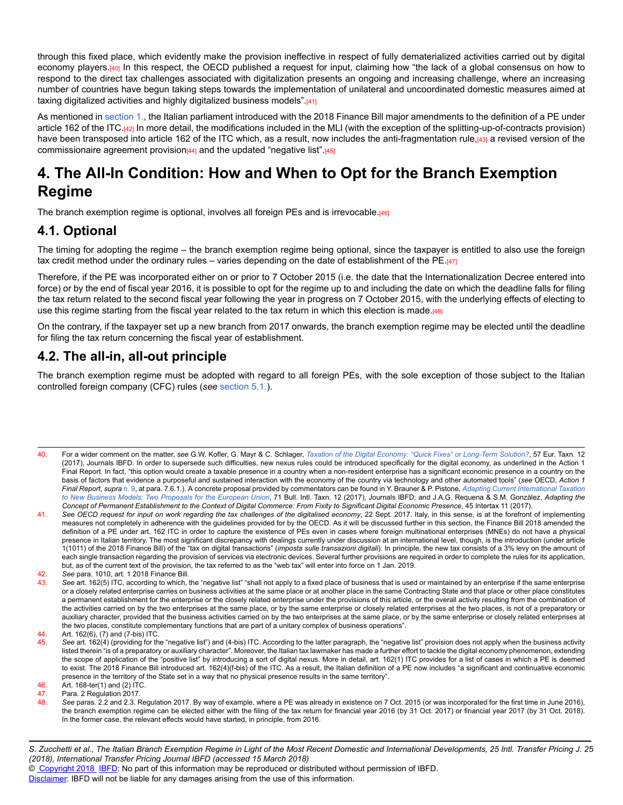through this fixed place, which evidently make the provision ineffective in respect of fully dematerialized activities carried out by digital economy players.<sup>[40]</sup> In this respect, the OECD published a request for input, claiming how "the lack of a global consensus on how to respond to the direct tax challenges associated with digitalization presents an ongoing and increasing challenge, where an increasing number of countries have begun taking steps towards the implementation of unilateral and uncoordinated domestic measures aimed at taxing digitalized activities and highly digitalized business models".[41]

As mentioned in [section 1.](http://online.ibfd.org/kbase/#topic=doc&url=/linkresolver/static/itpj_2018_02_it_1_s_1&&WT.z_nav=crosslinks), the Italian parliament introduced with the 2018 Finance Bill major amendments to the definition of a PE under article 162 of the ITC.<sup>[42]</sup> In more detail, the modifications included in the MLI (with the exception of the splitting-up-of-contracts provision) have been transposed into article 162 of the ITC which, as a result, now includes the anti-fragmentation rule,[43] a revised version of the commissionaire agreement provision $[44]$  and the updated "negative list". $[45]$ 

# **4. The All-In Condition: How and When to Opt for the Branch Exemption Regime**

The branch exemption regime is optional, involves all foreign PEs and is irrevocable.[46]

## **4.1. Optional**

The timing for adopting the regime – the branch exemption regime being optional, since the taxpayer is entitled to also use the foreign tax credit method under the ordinary rules – varies depending on the date of establishment of the PE. $\frac{47}{147}$ 

Therefore, if the PE was incorporated either on or prior to 7 October 2015 (i.e. the date that the Internationalization Decree entered into force) or by the end of fiscal year 2016, it is possible to opt for the regime up to and including the date on which the deadline falls for filing the tax return related to the second fiscal year following the year in progress on 7 October 2015, with the underlying effects of electing to use this regime starting from the fiscal year related to the tax return in which this election is made. $[48]$ 

On the contrary, if the taxpayer set up a new branch from 2017 onwards, the branch exemption regime may be elected until the deadline for filing the tax return concerning the fiscal year of establishment.

## **4.2. The all-in, all-out principle**

The branch exemption regime must be adopted with regard to all foreign PEs, with the sole exception of those subject to the Italian controlled foreign company (CFC) rules (*see* [section 5.1.](http://online.ibfd.org/kbase/#topic=doc&url=/linkresolver/static/itpj_2018_02_it_1_s_5_1&&WT.z_nav=crosslinks)).

46. Art. 168-ter(1) and (2) ITC.

*S. Zucchetti et al., The Italian Branch Exemption Regime in Light of the Most Recent Domestic and International Developments, 25 Intl. Transfer Pricing J. 2* 5 *(2018), International Transfer Pricing Journal IBFD (accessed 15 March 2018)* © [Copyright 2018](http://www.ibfd.org/Copyright-IBFD) [IBFD:](http://www.ibfd.org) No part of this information may be reproduced or distributed without permission of IBFD.

<sup>40.</sup> For a wider comment on the matter, *see* G.W. Kofler, G. Mayr & C. Schlager, *[Taxation of the Digital Economy: "Quick Fixes" or Long-Term Solution?](http://online.ibfd.org/kbase/#topic=doc&url=/linkresolver/static/et_2017_12_e2_1&&WT.z_nav=crosslinks)*, 57 Eur. Taxn. 12 (2017), Journals IBFD. In order to supersede such difficulties, new nexus rules could be introduced specifically for the digital economy, as underlined in the Action 1 Final Report. In fact, "this option would create a taxable presence in a country when a non-resident enterprise has a significant economic presence in a country on the basis of factors that evidence a purposeful and sustained interaction with the economy of the country via technology and other automated tools" (*see* OECD, *Action 1 Final Report*, *supra* [n. 9,](http://online.ibfd.org/kbase/#topic=doc&url=/linkresolver/static/itpj_2018_02_it_1_fn_9&&WT.z_nav=crosslinks) at para. 7.6.1.). A concrete proposal provided by commentators can be found in Y. Brauner & P. Pistone, *[Adapting Current International Taxation](http://online.ibfd.org/kbase/#topic=doc&url=/linkresolver/static/bit_2017_12_int_1&&WT.z_nav=crosslinks) [to New Business Models: Two Proposals for the European Union](http://online.ibfd.org/kbase/#topic=doc&url=/linkresolver/static/bit_2017_12_int_1&&WT.z_nav=crosslinks)*, 71 Bull. Intl. Taxn. 12 (2017), Journals IBFD; and J.A.G. Requena & S.M. Gonzàlez, *Adapting the Concept of Permanent Establishment to the Context of Digital Commerce: From Fixity to Significant Digital Economic Presence*, 45 Intertax 11 (2017).

<sup>41.</sup> *See OECD request for input on work regarding the tax challenges of the digitalised economy*, 22 Sept. 2017. Italy, in this sense, is at the forefront of implementing measures not completely in adherence with the guidelines provided for by the OECD. As it will be discussed further in this section, the Finance Bill 2018 amended the definition of a PE under art. 162 ITC in order to capture the existence of PEs even in cases where foreign multinational enterprises (MNEs) do not have a physical presence in Italian territory. The most significant discrepancy with dealings currently under discussion at an international level, though, is the introduction (under article 1(1011) of the 2018 Finance Bill) of the "tax on digital transactions" (*imposta sulle transazioni digitali*). In principle, the new tax consists of a 3% levy on the amount of each single transaction regarding the provision of services via electronic devices. Several further provisions are required in order to complete the rules for its application, but, as of the current text of the provision, the tax referred to as the "web tax" will enter into force on 1 Jan. 2019.

<sup>42.</sup> *See* para. 1010, art. 1 2018 Finance Bill.

<sup>43.</sup> See art. 162(5) ITC, according to which, the "negative list" "shall not apply to a fixed place of business that is used or maintained by an enterprise if the same enterprise or a closely related enterprise carries on business activities at the same place or at another place in the same Contracting State and that place or other place constitutes a permanent establishment for the enterprise or the closely related enterprise under the provisions of this article, or the overall activity resulting from the combination of the activities carried on by the two enterprises at the same place, or by the same enterprise or closely related enterprises at the two places, is not of a preparatory or auxiliary character, provided that the business activities carried on by the two enterprises at the same place, or by the same enterprise or closely related enterprises at the two places, constitute complementary functions that are part of a unitary complex of business operations".

<sup>44.</sup> Art. 162(6), (7) and (7-bis) ITC.<br>45 See art. 162(4) (providing for the

See art. 162(4) (providing for the "negative list") and (4-bis) ITC. According to the latter paragraph, the "negative list" provision does not apply when the business activity listed therein "is of a preparatory or auxiliary character". Moreover, the Italian tax lawmaker has made a further effort to tackle the digital economy phenomenon, extending the scope of application of the "positive list" by introducing a sort of digital nexus. More in detail, art. 162(1) ITC provides for a list of cases in which a PE is deemed to exist. The 2018 Finance Bill introduced art. 162(4)(f-bis) of the ITC. As a result, the Italian definition of a PE now includes "a significant and continuative economic presence in the territory of the State set in a way that no physical presence results in the same territory".

<sup>47.</sup> Para. 2 Regulation 2017.<br>48. See paras. 2.2 and 2.3. R See paras. 2.2 and 2.3. Regulation 2017. By way of example, where a PE was already in existence on 7 Oct. 2015 (or was incorporated for the first time in June 2016), the branch exemption regime can be elected either with the filing of the tax return for financial year 2016 (by 31 Oct. 2017) or financial year 2017 (by 31 Oct. 2018). In the former case, the relevant effects would have started, in principle, from 2016.

[Disclaimer:](http://www.ibfd.org/Disclaimer) IBFD will not be liable for any damages arising from the use of this information.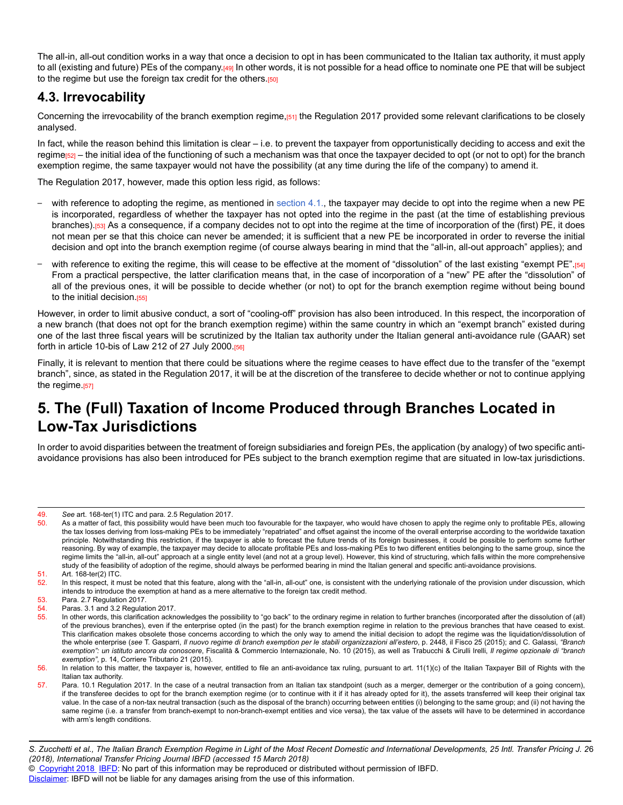The all-in, all-out condition works in a way that once a decision to opt in has been communicated to the Italian tax authority, it must apply to all (existing and future) PEs of the company.[49] In other words, it is not possible for a head office to nominate one PE that will be subject to the regime but use the foreign tax credit for the others.[50]

## **4.3. Irrevocability**

Concerning the irrevocability of the branch exemption regime,[51] the Regulation 2017 provided some relevant clarifications to be closely analysed.

In fact, while the reason behind this limitation is clear – i.e. to prevent the taxpayer from opportunistically deciding to access and exit the regime<sub>[52]</sub> – the initial idea of the functioning of such a mechanism was that once the taxpayer decided to opt (or not to opt) for the branch exemption regime, the same taxpayer would not have the possibility (at any time during the life of the company) to amend it.

The Regulation 2017, however, made this option less rigid, as follows:

- with reference to adopting the regime, as mentioned in [section 4.1.](http://online.ibfd.org/kbase/#topic=doc&url=/linkresolver/static/itpj_2018_02_it_1_s_4_1&&WT.z_nav=crosslinks), the taxpayer may decide to opt into the regime when a new PE is incorporated, regardless of whether the taxpayer has not opted into the regime in the past (at the time of establishing previous branches).[53] As a consequence, if a company decides not to opt into the regime at the time of incorporation of the (first) PE, it does not mean per se that this choice can never be amended; it is sufficient that a new PE be incorporated in order to reverse the initial decision and opt into the branch exemption regime (of course always bearing in mind that the "all-in, all-out approach" applies); and
- with reference to exiting the regime, this will cease to be effective at the moment of "dissolution" of the last existing "exempt PE".<sup>[54]</sup> From a practical perspective, the latter clarification means that, in the case of incorporation of a "new" PE after the "dissolution" of all of the previous ones, it will be possible to decide whether (or not) to opt for the branch exemption regime without being bound to the initial decision.<sup>[55]</sup>

However, in order to limit abusive conduct, a sort of "cooling-off" provision has also been introduced. In this respect, the incorporation of a new branch (that does not opt for the branch exemption regime) within the same country in which an "exempt branch" existed during one of the last three fiscal years will be scrutinized by the Italian tax authority under the Italian general anti-avoidance rule (GAAR) set forth in article 10-bis of Law 212 of 27 July 2000.[56]

Finally, it is relevant to mention that there could be situations where the regime ceases to have effect due to the transfer of the "exempt branch", since, as stated in the Regulation 2017, it will be at the discretion of the transferee to decide whether or not to continue applying the regime.[57]

# **5. The (Full) Taxation of Income Produced through Branches Located in Low-Tax Jurisdictions**

In order to avoid disparities between the treatment of foreign subsidiaries and foreign PEs, the application (by analogy) of two specific antiavoidance provisions has also been introduced for PEs subject to the branch exemption regime that are situated in low-tax jurisdictions.

<sup>49.</sup> *See* art. 168-ter(1) ITC and para. 2.5 Regulation 2017.

As a matter of fact, this possibility would have been much too favourable for the taxpayer, who would have chosen to apply the regime only to profitable PEs, allowing the tax losses deriving from loss-making PEs to be immediately "repatriated" and offset against the income of the overall enterprise according to the worldwide taxation principle. Notwithstanding this restriction, if the taxpayer is able to forecast the future trends of its foreign businesses, it could be possible to perform some further reasoning. By way of example, the taxpayer may decide to allocate profitable PEs and loss-making PEs to two different entities belonging to the same group, since the regime limits the "all-in, all-out" approach at a single entity level (and not at a group level). However, this kind of structuring, which falls within the more comprehensive study of the feasibility of adoption of the regime, should always be performed bearing in mind the Italian general and specific anti-avoidance provisions.

<sup>51.</sup> Art. 168-ter(2) ITC.

<sup>52.</sup> In this respect, it must be noted that this feature, along with the "all-in, all-out" one, is consistent with the underlying rationale of the provision under discussion, which intends to introduce the exemption at hand as a mere alternative to the foreign tax credit method.

<sup>53.</sup> Para. 2.7 Regulation 2017.<br>54. Paras. 3.1 and 3.2 Regulation

Paras. 3.1 and 3.2 Regulation 2017.

<sup>55.</sup> In other words, this clarification acknowledges the possibility to "go back" to the ordinary regime in relation to further branches (incorporated after the dissolution of (all) of the previous branches), even if the enterprise opted (in the past) for the branch exemption regime in relation to the previous branches that have ceased to exist. This clarification makes obsolete those concerns according to which the only way to amend the initial decision to adopt the regime was the liquidation/dissolution of the whole enterprise (*see* T. Gasparri, *Il nuovo regime di branch exemption per le stabili organizzazioni all'estero*, p. 2448, il Fisco 25 (2015); and C. Galassi, *"Branch exemption": un istituto ancora da conoscere*, Fiscalità & Commercio Internazionale, No. 10 (2015), as well as Trabucchi & Cirulli Irelli, *Il regime opzionale di "branch exemption"*, p. 14, Corriere Tributario 21 (2015).

<sup>56.</sup> In relation to this matter, the taxpayer is, however, entitled to file an anti-avoidance tax ruling, pursuant to art. 11(1)(c) of the Italian Taxpayer Bill of Rights with the Italian tax authority.

<sup>57.</sup> Para. 10.1 Regulation 2017. In the case of a neutral transaction from an Italian tax standpoint (such as a merger, demerger or the contribution of a going concern), if the transferee decides to opt for the branch exemption regime (or to continue with it if it has already opted for it), the assets transferred will keep their original tax value. In the case of a non-tax neutral transaction (such as the disposal of the branch) occurring between entities (i) belonging to the same group; and (ii) not having the same regime (i.e. a transfer from branch-exempt to non-branch-exempt entities and vice versa), the tax value of the assets will have to be determined in accordance with arm's length conditions.

*S. Zucchetti et al., The Italian Branch Exemption Regime in Light of the Most Recent Domestic and International Developments, 25 Intl. Transfer Pricing J. 2* 6 *(2018), International Transfer Pricing Journal IBFD (accessed 15 March 2018)* © [Copyright 2018](http://www.ibfd.org/Copyright-IBFD) [IBFD:](http://www.ibfd.org) No part of this information may be reproduced or distributed without permission of IBFD. [Disclaimer:](http://www.ibfd.org/Disclaimer) IBFD will not be liable for any damages arising from the use of this information.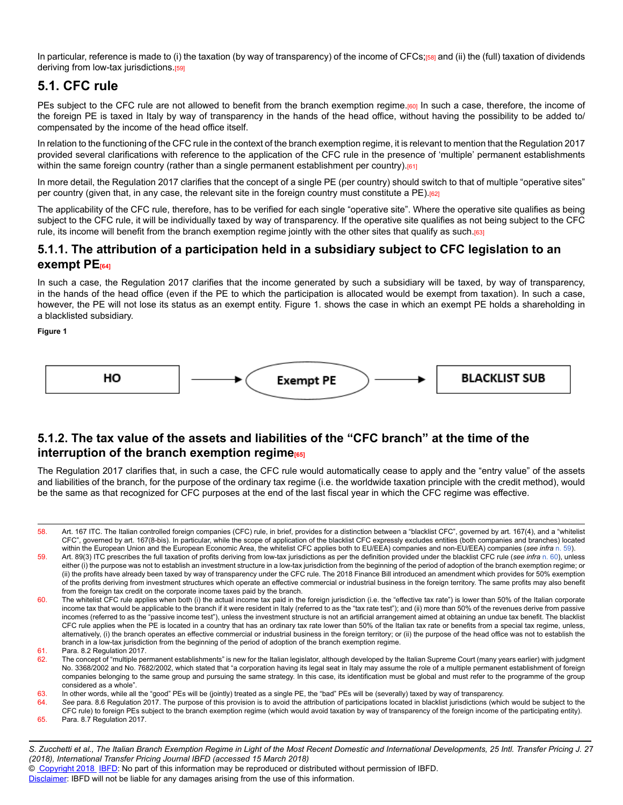In particular, reference is made to (i) the taxation (by way of transparency) of the income of CFCs;[58] and (ii) the (full) taxation of dividends deriving from low-tax jurisdictions.<sup>[59]</sup>

## **5.1. CFC rule**

PEs subject to the CFC rule are not allowed to benefit from the branch exemption regime.[60] In such a case, therefore, the income of the foreign PE is taxed in Italy by way of transparency in the hands of the head office, without having the possibility to be added to/ compensated by the income of the head office itself.

In relation to the functioning of the CFC rule in the context of the branch exemption regime, it is relevant to mention that the Regulation 2017 provided several clarifications with reference to the application of the CFC rule in the presence of 'multiple' permanent establishments within the same foreign country (rather than a single permanent establishment per country). $[61]$ 

In more detail, the Regulation 2017 clarifies that the concept of a single PE (per country) should switch to that of multiple "operative sites" per country (given that, in any case, the relevant site in the foreign country must constitute a PE).[62]

The applicability of the CFC rule, therefore, has to be verified for each single "operative site". Where the operative site qualifies as being subject to the CFC rule, it will be individually taxed by way of transparency. If the operative site qualifies as not being subject to the CFC rule, its income will benefit from the branch exemption regime jointly with the other sites that qualify as such.[63]

### **5.1.1. The attribution of a participation held in a subsidiary subject to CFC legislation to an exempt PE[64]**

In such a case, the Regulation 2017 clarifies that the income generated by such a subsidiary will be taxed, by way of transparency, in the hands of the head office (even if the PE to which the participation is allocated would be exempt from taxation). In such a case, however, the PE will not lose its status as an exempt entity. Figure 1. shows the case in which an exempt PE holds a shareholding in a blacklisted subsidiary.

**Figure 1**



### **5.1.2. The tax value of the assets and liabilities of the "CFC branch" at the time of the interruption of the branch exemption regime**

The Regulation 2017 clarifies that, in such a case, the CFC rule would automatically cease to apply and the "entry value" of the assets and liabilities of the branch, for the purpose of the ordinary tax regime (i.e. the worldwide taxation principle with the credit method), would be the same as that recognized for CFC purposes at the end of the last fiscal year in which the CFC regime was effective.

© [Copyright 2018](http://www.ibfd.org/Copyright-IBFD) [IBFD:](http://www.ibfd.org) No part of this information may be reproduced or distributed without permission of IBFD.

<sup>58.</sup> Art. 167 ITC. The Italian controlled foreign companies (CFC) rule, in brief, provides for a distinction between a "blacklist CFC", governed by art. 167(4), and a "whitelist CFC", governed by art. 167(8-bis). In particular, while the scope of application of the blacklist CFC expressly excludes entities (both companies and branches) located within the European Union and the European Economic Area, the whitelist CFC applies both to EU/EEA) companies and non-EU/EEA) companies (*see infra* [n. 59\)](http://online.ibfd.org/kbase/#topic=doc&url=/linkresolver/static/itpj_2018_02_it_1_fn_59&&WT.z_nav=crosslinks).

<sup>59.</sup> Art. 89(3) ITC prescribes the full taxation of profits deriving from low-tax jurisdictions as per the definition provided under the blacklist CFC rule (*see infra* [n. 60\)](http://online.ibfd.org/kbase/#topic=doc&url=/linkresolver/static/itpj_2018_02_it_1_fn_60&&WT.z_nav=crosslinks), unless either (i) the purpose was not to establish an investment structure in a low-tax jurisdiction from the beginning of the period of adoption of the branch exemption regime; or (ii) the profits have already been taxed by way of transparency under the CFC rule. The 2018 Finance Bill introduced an amendment which provides for 50% exemption of the profits deriving from investment structures which operate an effective commercial or industrial business in the foreign territory. The same profits may also benefit from the foreign tax credit on the corporate income taxes paid by the branch.

<sup>60.</sup> The whitelist CFC rule applies when both (i) the actual income tax paid in the foreign jurisdiction (i.e. the "effective tax rate") is lower than 50% of the Italian corporate income tax that would be applicable to the branch if it were resident in Italy (referred to as the "tax rate test"); and (ii) more than 50% of the revenues derive from passive incomes (referred to as the "passive income test"), unless the investment structure is not an artificial arrangement aimed at obtaining an undue tax benefit. The blacklist CFC rule applies when the PE is located in a country that has an ordinary tax rate lower than 50% of the Italian tax rate or benefits from a special tax regime, unless, alternatively, (i) the branch operates an effective commercial or industrial business in the foreign territory; or (ii) the purpose of the head office was not to establish the branch in a low-tax jurisdiction from the beginning of the period of adoption of the branch exemption regime.

<sup>61.</sup> Para. 8.2 Regulation 2017.

<sup>62.</sup> The concept of "multiple permanent establishments" is new for the Italian legislator, although developed by the Italian Supreme Court (many years earlier) with judgment No. 3368/2002 and No. 7682/2002, which stated that "a corporation having its legal seat in Italy may assume the role of a multiple permanent establishment of foreign companies belonging to the same group and pursuing the same strategy. In this case, its identification must be global and must refer to the programme of the group considered as a whole".

<sup>63.</sup> In other words, while all the "good" PEs will be (jointly) treated as a single PE, the "bad" PEs will be (severally) taxed by way of transparency.

<sup>64.</sup> *See* para. 8.6 Regulation 2017. The purpose of this provision is to avoid the attribution of participations located in blacklist jurisdictions (which would be subject to the CFC rule) to foreign PEs subject to the branch exemption regime (which would avoid taxation by way of transparency of the foreign income of the participating entity).

<sup>65.</sup> Para. 8.7 Regulation 2017.

*S. Zucchetti et al., The Italian Branch Exemption Regime in Light of the Most Recent Domestic and International Developments, 25 Intl. Transfer Pricing J. 2* 7 *(2018), International Transfer Pricing Journal IBFD (accessed 15 March 2018)*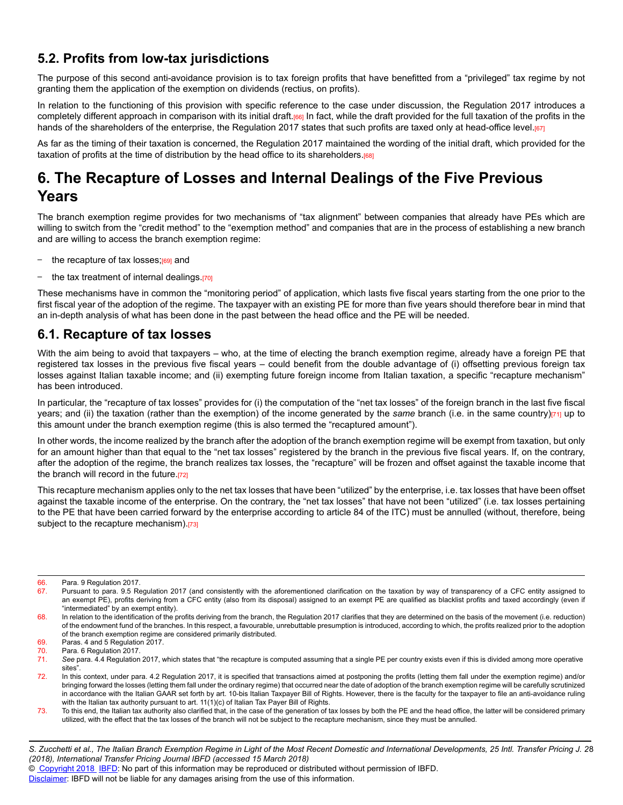## **5.2. Profits from low-tax jurisdictions**

The purpose of this second anti-avoidance provision is to tax foreign profits that have benefitted from a "privileged" tax regime by not granting them the application of the exemption on dividends (rectius, on profits).

In relation to the functioning of this provision with specific reference to the case under discussion, the Regulation 2017 introduces a completely different approach in comparison with its initial draft.[66] In fact, while the draft provided for the full taxation of the profits in the hands of the shareholders of the enterprise, the Regulation 2017 states that such profits are taxed only at head-office level.[67]

As far as the timing of their taxation is concerned, the Regulation 2017 maintained the wording of the initial draft, which provided for the taxation of profits at the time of distribution by the head office to its shareholders.<sup>[68]</sup>

# **6. The Recapture of Losses and Internal Dealings of the Five Previous Years**

The branch exemption regime provides for two mechanisms of "tax alignment" between companies that already have PEs which are willing to switch from the "credit method" to the "exemption method" and companies that are in the process of establishing a new branch and are willing to access the branch exemption regime:

- the recapture of tax losses;<sup>[69]</sup> and
- the tax treatment of internal dealings.[70]

These mechanisms have in common the "monitoring period" of application, which lasts five fiscal years starting from the one prior to the first fiscal year of the adoption of the regime. The taxpayer with an existing PE for more than five years should therefore bear in mind that an in-depth analysis of what has been done in the past between the head office and the PE will be needed.

### **6.1. Recapture of tax losses**

With the aim being to avoid that taxpayers – who, at the time of electing the branch exemption regime, already have a foreign PE that registered tax losses in the previous five fiscal years – could benefit from the double advantage of (i) offsetting previous foreign tax losses against Italian taxable income; and (ii) exempting future foreign income from Italian taxation, a specific "recapture mechanism" has been introduced.

In particular, the "recapture of tax losses" provides for (i) the computation of the "net tax losses" of the foreign branch in the last five fiscal years; and (ii) the taxation (rather than the exemption) of the income generated by the same branch (i.e. in the same country)[71] up to this amount under the branch exemption regime (this is also termed the "recaptured amount").

In other words, the income realized by the branch after the adoption of the branch exemption regime will be exempt from taxation, but only for an amount higher than that equal to the "net tax losses" registered by the branch in the previous five fiscal years. If, on the contrary, after the adoption of the regime, the branch realizes tax losses, the "recapture" will be frozen and offset against the taxable income that the branch will record in the future.[72]

This recapture mechanism applies only to the net tax losses that have been "utilized" by the enterprise, i.e. tax losses that have been offset against the taxable income of the enterprise. On the contrary, the "net tax losses" that have not been "utilized" (i.e. tax losses pertaining to the PE that have been carried forward by the enterprise according to article 84 of the ITC) must be annulled (without, therefore, being subject to the recapture mechanism).[73]

*S. Zucchetti et al., The Italian Branch Exemption Regime in Light of the Most Recent Domestic and International Developments, 25 Intl. Transfer Pricing J. 2* 8 *(2018), International Transfer Pricing Journal IBFD (accessed 15 March 2018)*

© [Copyright 2018](http://www.ibfd.org/Copyright-IBFD) [IBFD:](http://www.ibfd.org) No part of this information may be reproduced or distributed without permission of IBFD.

<sup>66.</sup> Para. 9 Regulation 2017.<br>67 Pursuant to para 9.5 Re

<sup>67.</sup> Pursuant to para. 9.5 Regulation 2017 (and consistently with the aforementioned clarification on the taxation by way of transparency of a CFC entity assigned to an exempt PE), profits deriving from a CFC entity (also from its disposal) assigned to an exempt PE are qualified as blacklist profits and taxed accordingly (even if "intermediated" by an exempt entity).

<sup>68.</sup> In relation to the identification of the profits deriving from the branch, the Regulation 2017 clarifies that they are determined on the basis of the movement (i.e. reduction) of the endowment fund of the branches. In this respect, a favourable, unrebuttable presumption is introduced, according to which, the profits realized prior to the adoption of the branch exemption regime are considered primarily distributed.

<sup>69.</sup> Paras. 4 and 5 Regulation 2017.

<sup>70.</sup> Para. 6 Regulation 2017.

<sup>71.</sup> *See* para. 4.4 Regulation 2017, which states that "the recapture is computed assuming that a single PE per country exists even if this is divided among more operative sites".

<sup>72.</sup> In this context, under para. 4.2 Regulation 2017, it is specified that transactions aimed at postponing the profits (letting them fall under the exemption regime) and/or bringing forward the losses (letting them fall under the ordinary regime) that occurred near the date of adoption of the branch exemption regime will be carefully scrutinized in accordance with the Italian GAAR set forth by art. 10-bis Italian Taxpayer Bill of Rights. However, there is the faculty for the taxpayer to file an anti-avoidance ruling with the Italian tax authority pursuant to art. 11(1)(c) of Italian Tax Payer Bill of Rights.

<sup>73.</sup> To this end, the Italian tax authority also clarified that, in the case of the generation of tax losses by both the PE and the head office, the latter will be considered primary utilized, with the effect that the tax losses of the branch will not be subject to the recapture mechanism, since they must be annulled.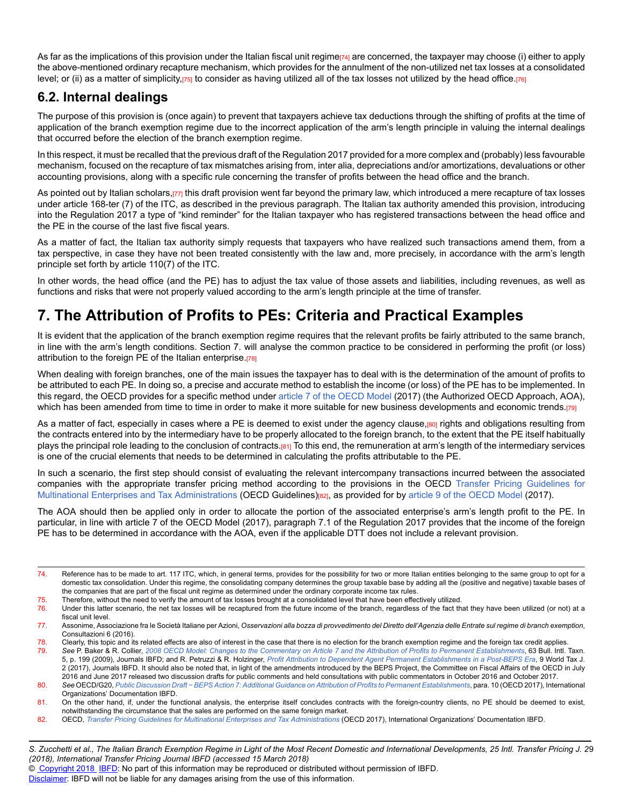As far as the implications of this provision under the Italian fiscal unit regime<sub>[74]</sub> are concerned, the taxpayer may choose (i) either to apply the above-mentioned ordinary recapture mechanism, which provides for the annulment of the non-utilized net tax losses at a consolidated level; or (ii) as a matter of simplicity,[75] to consider as having utilized all of the tax losses not utilized by the head office.[76]

## **6.2. Internal dealings**

The purpose of this provision is (once again) to prevent that taxpayers achieve tax deductions through the shifting of profits at the time of application of the branch exemption regime due to the incorrect application of the arm's length principle in valuing the internal dealings that occurred before the election of the branch exemption regime.

In this respect, it must be recalled that the previous draft of the Regulation 2017 provided for a more complex and (probably) less favourable mechanism, focused on the recapture of tax mismatches arising from, inter alia, depreciations and/or amortizations, devaluations or other accounting provisions, along with a specific rule concerning the transfer of profits between the head office and the branch.

As pointed out by Italian scholars,[77] this draft provision went far beyond the primary law, which introduced a mere recapture of tax losses under article 168-ter (7) of the ITC, as described in the previous paragraph. The Italian tax authority amended this provision, introducing into the Regulation 2017 a type of "kind reminder" for the Italian taxpayer who has registered transactions between the head office and the PE in the course of the last five fiscal years.

As a matter of fact, the Italian tax authority simply requests that taxpayers who have realized such transactions amend them, from a tax perspective, in case they have not been treated consistently with the law and, more precisely, in accordance with the arm's length principle set forth by article 110(7) of the ITC.

In other words, the head office (and the PE) has to adjust the tax value of those assets and liabilities, including revenues, as well as functions and risks that were not properly valued according to the arm's length principle at the time of transfer.

# **7. The Attribution of Profits to PEs: Criteria and Practical Examples**

It is evident that the application of the branch exemption regime requires that the relevant profits be fairly attributed to the same branch, in line with the arm's length conditions. Section 7. will analyse the common practice to be considered in performing the profit (or loss) attribution to the foreign PE of the Italian enterprise.[78]

When dealing with foreign branches, one of the main issues the taxpayer has to deal with is the determination of the amount of profits to be attributed to each PE. In doing so, a precise and accurate method to establish the income (or loss) of the PE has to be implemented. In this regard, the OECD provides for a specific method under [article 7 of the OECD Model](http://online.ibfd.org/kbase/#topic=doc&url=/linkresolver/static/tt_o2_02_eng_2017_mo__td1_a7&&WT.z_nav=crosslinks) (2017) (the Authorized OECD Approach, AOA), which has been amended from time to time in order to make it more suitable for new business developments and economic trends.[79]

As a matter of fact, especially in cases where a PE is deemed to exist under the agency clause,[80] rights and obligations resulting from the contracts entered into by the intermediary have to be properly allocated to the foreign branch, to the extent that the PE itself habitually plays the principal role leading to the conclusion of contracts.[81] To this end, the remuneration at arm's length of the intermediary services is one of the crucial elements that needs to be determined in calculating the profits attributable to the PE.

In such a scenario, the first step should consist of evaluating the relevant intercompany transactions incurred between the associated companies with the appropriate transfer pricing method according to the provisions in the OECD [Transfer Pricing Guidelines for](http://online.ibfd.org/kbase/#topic=doc&url=/linkresolver/static/oecd_tp_guidelines_2017&&WT.z_nav=crosslinks) [Multinational Enterprises and Tax Administrations](http://online.ibfd.org/kbase/#topic=doc&url=/linkresolver/static/oecd_tp_guidelines_2017&&WT.z_nav=crosslinks) (OECD Guidelines)[82], as provided for b[y article 9 of the OECD Model](http://online.ibfd.org/kbase/#topic=doc&url=/linkresolver/static/tt_o2_02_eng_2017_mo__td1_a9&&WT.z_nav=crosslinks) (2017).

The AOA should then be applied only in order to allocate the portion of the associated enterprise's arm's length profit to the PE. In particular, in line with article 7 of the OECD Model (2017), paragraph 7.1 of the Regulation 2017 provides that the income of the foreign PE has to be determined in accordance with the AOA, even if the applicable DTT does not include a relevant provision.

*S. Zucchetti et al., The Italian Branch Exemption Regime in Light of the Most Recent Domestic and International Developments, 25 Intl. Transfer Pricing J. 2* 9 *(2018), International Transfer Pricing Journal IBFD (accessed 15 March 2018)*

© [Copyright 2018](http://www.ibfd.org/Copyright-IBFD) [IBFD:](http://www.ibfd.org) No part of this information may be reproduced or distributed without permission of IBFD.

<sup>74.</sup> Reference has to be made to art. 117 ITC, which, in general terms, provides for the possibility for two or more Italian entities belonging to the same group to opt for a domestic tax consolidation. Under this regime, the consolidating company determines the group taxable base by adding all the (positive and negative) taxable bases of the companies that are part of the fiscal unit regime as determined under the ordinary corporate income tax rules.

<sup>75.</sup> Therefore, without the need to verify the amount of tax losses brought at a consolidated level that have been effectively utilized.<br>76. Under this latter scenario, the net tax losses will be recaptured from the future

Under this latter scenario, the net tax losses will be recaptured from the future income of the branch, regardless of the fact that they have been utilized (or not) at a fiscal unit level.

<sup>77.</sup> Assonime, Associazione fra le Società Italiane per Azioni, *Osservazioni alla bozza di provvedimento del Diretto dell'Agenzia delle Entrate sul regime di branch exemption*, Consultazioni 6 (2016).

<sup>78.</sup> Clearly, this topic and its related effects are also of interest in the case that there is no election for the branch exemption regime and the foreign tax credit applies.

<sup>79.</sup> *See* P. Baker & R. Collier, *[2008 OECD Model: Changes to the Commentary on Article 7 and the Attribution of Profits to Permanent Establishments](http://online.ibfd.org/kbase/#topic=doc&url=/linkresolver/static/bifd050906&&WT.z_nav=crosslinks)*, 63 Bull. Intl. Taxn. 5, p. 199 (2009), Journals IBFD; and R. Petruzzi & R. Holzinger, *[Profit Attribution to Dependent Agent Permanent Establishments in a Post-BEPS Era](http://online.ibfd.org/kbase/#topic=doc&url=/linkresolver/static/wtj_2017_02_int_2&&WT.z_nav=crosslinks)*, 9 World Tax J. 2 (2017), Journals IBFD. It should also be noted that, in light of the amendments introduced by the BEPS Project, the Committee on Fiscal Affairs of the OECD in July 2016 and June 2017 released two discussion drafts for public comments and held consultations with public commentators in October 2016 and October 2017.

<sup>80.</sup> *See* OECD/G20, *[Public Discussion Draft − BEPS Action 7: Additional Guidance on Attribution of Profits to Permanent Establishments](http://online.ibfd.org/kbase/#topic=doc&url=/linkresolver/static/oecd_beps_action_7_final_report_2015&&WT.z_nav=crosslinks)*, para. 10 (OECD 2017), International Organizations' Documentation IBFD.

<sup>81.</sup> On the other hand, if, under the functional analysis, the enterprise itself concludes contracts with the foreign-country clients, no PE should be deemed to exist, notwithstanding the circumstance that the sales are performed on the same foreign market.

<sup>82.</sup> OECD, [Transfer Pricing Guidelines for Multinational Enterprises and Tax Administrations](http://online.ibfd.org/kbase/#topic=doc&url=/linkresolver/static/oecd_tp_guidelines_2017&&WT.z_nav=crosslinks) (OECD 2017), International Organizations' Documentation IBFD.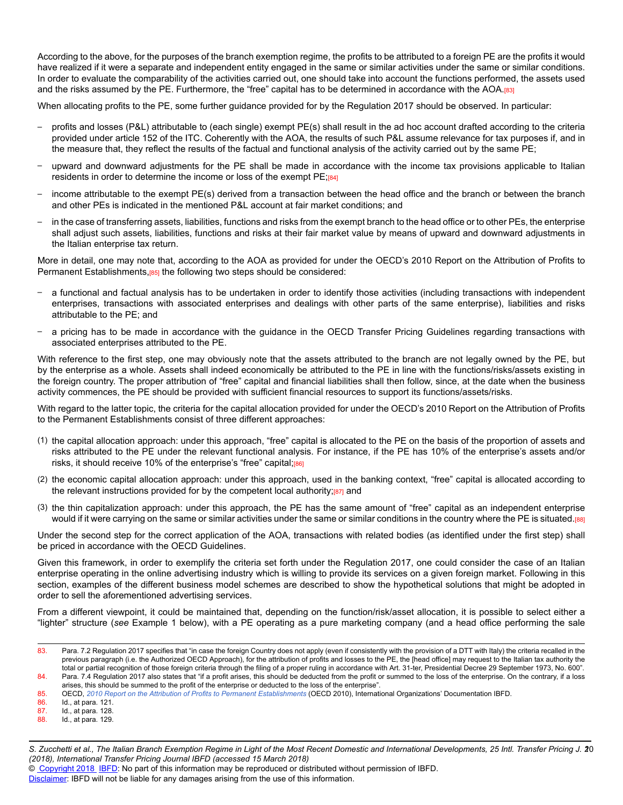According to the above, for the purposes of the branch exemption regime, the profits to be attributed to a foreign PE are the profits it would have realized if it were a separate and independent entity engaged in the same or similar activities under the same or similar conditions. In order to evaluate the comparability of the activities carried out, one should take into account the functions performed, the assets used and the risks assumed by the PE. Furthermore, the "free" capital has to be determined in accordance with the AOA.[83]

When allocating profits to the PE, some further guidance provided for by the Regulation 2017 should be observed. In particular:

- profits and losses (P&L) attributable to (each single) exempt PE(s) shall result in the ad hoc account drafted according to the criteria provided under article 152 of the ITC. Coherently with the AOA, the results of such P&L assume relevance for tax purposes if, and in the measure that, they reflect the results of the factual and functional analysis of the activity carried out by the same PE;
- upward and downward adjustments for the PE shall be made in accordance with the income tax provisions applicable to Italian residents in order to determine the income or loss of the exempt PE;[84]
- income attributable to the exempt PE(s) derived from a transaction between the head office and the branch or between the branch and other PEs is indicated in the mentioned P&L account at fair market conditions; and
- in the case of transferring assets, liabilities, functions and risks from the exempt branch to the head office or to other PEs, the enterprise shall adjust such assets, liabilities, functions and risks at their fair market value by means of upward and downward adjustments in the Italian enterprise tax return.

More in detail, one may note that, according to the AOA as provided for under the OECD's 2010 Report on the Attribution of Profits to Permanent Establishments,<sup>[85]</sup> the following two steps should be considered:

- a functional and factual analysis has to be undertaken in order to identify those activities (including transactions with independent enterprises, transactions with associated enterprises and dealings with other parts of the same enterprise), liabilities and risks attributable to the PE; and
- a pricing has to be made in accordance with the guidance in the OECD Transfer Pricing Guidelines regarding transactions with associated enterprises attributed to the PE.

With reference to the first step, one may obviously note that the assets attributed to the branch are not legally owned by the PE, but by the enterprise as a whole. Assets shall indeed economically be attributed to the PE in line with the functions/risks/assets existing in the foreign country. The proper attribution of "free" capital and financial liabilities shall then follow, since, at the date when the business activity commences, the PE should be provided with sufficient financial resources to support its functions/assets/risks.

With regard to the latter topic, the criteria for the capital allocation provided for under the OECD's 2010 Report on the Attribution of Profits to the Permanent Establishments consist of three different approaches:

- (1) the capital allocation approach: under this approach, "free" capital is allocated to the PE on the basis of the proportion of assets and risks attributed to the PE under the relevant functional analysis. For instance, if the PE has 10% of the enterprise's assets and/or risks, it should receive 10% of the enterprise's "free" capital;[86]
- (2) the economic capital allocation approach: under this approach, used in the banking context, "free" capital is allocated according to the relevant instructions provided for by the competent local authority;[87] and
- (3) the thin capitalization approach: under this approach, the PE has the same amount of "free" capital as an independent enterprise would if it were carrying on the same or similar activities under the same or similar conditions in the country where the PE is situated.[88]

Under the second step for the correct application of the AOA, transactions with related bodies (as identified under the first step) shall be priced in accordance with the OECD Guidelines.

Given this framework, in order to exemplify the criteria set forth under the Regulation 2017, one could consider the case of an Italian enterprise operating in the online advertising industry which is willing to provide its services on a given foreign market. Following in this section, examples of the different business model schemes are described to show the hypothetical solutions that might be adopted in order to sell the aforementioned advertising services.

From a different viewpoint, it could be maintained that, depending on the function/risk/asset allocation, it is possible to select either a "lighter" structure (*see* Example 1 below), with a PE operating as a pure marketing company (and a head office performing the sale

© [Copyright 2018](http://www.ibfd.org/Copyright-IBFD) [IBFD:](http://www.ibfd.org) No part of this information may be reproduced or distributed without permission of IBFD.

<sup>83.</sup> Para. 7.2 Regulation 2017 specifies that "in case the foreign Country does not apply (even if consistently with the provision of a DTT with Italy) the criteria recalled in the previous paragraph (i.e. the Authorized OECD Approach), for the attribution of profits and losses to the PE, the [head office] may request to the Italian tax authority the total or partial recognition of those foreign criteria through the filing of a proper ruling in accordance with Art. 31-ter, Presidential Decree 29 September 1973, No. 600". 84. Para. 7.4 Regulation 2017 also states that "if a profit arises, this should be deducted from the profit or summed to the loss of the enterprise. On the contrary, if a loss

arises, this should be summed to the profit of the enterprise or deducted to the loss of the enterprise".

<sup>85.</sup> OECD, [2010 Report on the Attribution of Profits to Permanent Establishments](http://online.ibfd.org/kbase/#topic=doc&url=/linkresolver/static/oecd_pe_pi-piii-2010&&WT.z_nav=crosslinks) (OECD 2010), International Organizations' Documentation IBFD.

<sup>86.</sup> Id., at para. 121.

<sup>87.</sup> Id., at para. 128.<br>88. Id. at para. 129.

<sup>88.</sup> Id., at para. 129.

*S. Zucchetti et al., The Italian Branch Exemption Regime in Light of the Most Recent Domestic and International Developments, 25 Intl. Transfer Pricing J. 2* 10 *(2018), International Transfer Pricing Journal IBFD (accessed 15 March 2018)*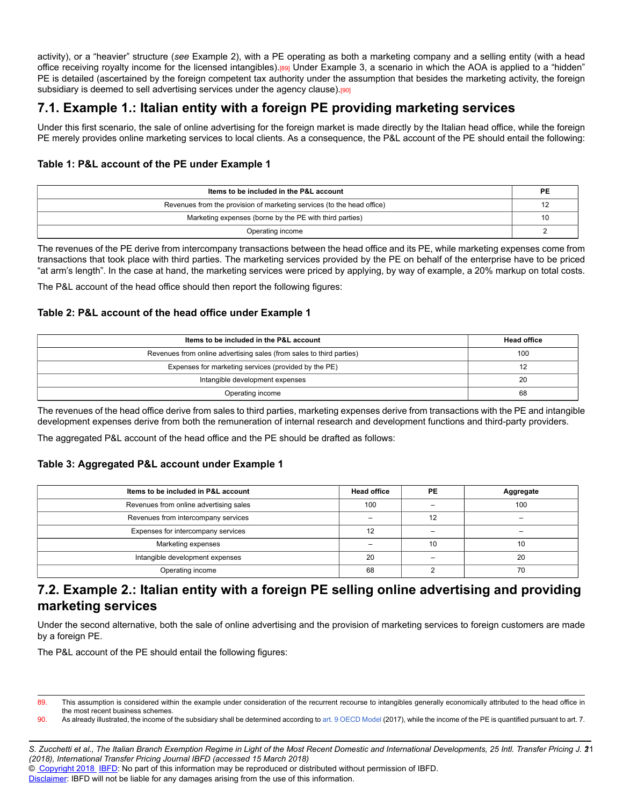activity), or a "heavier" structure (*see* Example 2), with a PE operating as both a marketing company and a selling entity (with a head office receiving royalty income for the licensed intangibles).[89] Under Example 3, a scenario in which the AOA is applied to a "hidden" PE is detailed (ascertained by the foreign competent tax authority under the assumption that besides the marketing activity, the foreign subsidiary is deemed to sell advertising services under the agency clause).<sup>[90]</sup>

## **7.1. Example 1.: Italian entity with a foreign PE providing marketing services**

Under this first scenario, the sale of online advertising for the foreign market is made directly by the Italian head office, while the foreign PE merely provides online marketing services to local clients. As a consequence, the P&L account of the PE should entail the following:

### **Table 1: P&L account of the PE under Example 1**

| Items to be included in the P&L account                                |  |
|------------------------------------------------------------------------|--|
| Revenues from the provision of marketing services (to the head office) |  |
| Marketing expenses (borne by the PE with third parties)                |  |
| Operating income                                                       |  |

The revenues of the PE derive from intercompany transactions between the head office and its PE, while marketing expenses come from transactions that took place with third parties. The marketing services provided by the PE on behalf of the enterprise have to be priced "at arm's length". In the case at hand, the marketing services were priced by applying, by way of example, a 20% markup on total costs.

The P&L account of the head office should then report the following figures:

### **Table 2: P&L account of the head office under Example 1**

| Items to be included in the P&L account                              | <b>Head office</b> |
|----------------------------------------------------------------------|--------------------|
| Revenues from online advertising sales (from sales to third parties) | 100                |
| Expenses for marketing services (provided by the PE)                 |                    |
| Intangible development expenses                                      | 20                 |
| Operating income                                                     | 68                 |

The revenues of the head office derive from sales to third parties, marketing expenses derive from transactions with the PE and intangible development expenses derive from both the remuneration of internal research and development functions and third-party providers.

The aggregated P&L account of the head office and the PE should be drafted as follows:

### **Table 3: Aggregated P&L account under Example 1**

| Items to be included in P&L account    | <b>Head office</b> | PE                       | Aggregate |
|----------------------------------------|--------------------|--------------------------|-----------|
| Revenues from online advertising sales | 100                | -                        | 100       |
| Revenues from intercompany services    |                    | 12                       |           |
| Expenses for intercompany services     | 12                 | $\overline{\phantom{0}}$ |           |
| Marketing expenses                     |                    | 10                       | 10        |
| Intangible development expenses        | 20                 |                          | 20        |
| Operating income                       | 68                 |                          | 70        |

## **7.2. Example 2.: Italian entity with a foreign PE selling online advertising and providing marketing services**

Under the second alternative, both the sale of online advertising and the provision of marketing services to foreign customers are made by a foreign PE.

The P&L account of the PE should entail the following figures:

90. As already illustrated, the income of the subsidiary shall be determined according to [art. 9 OECD Model](http://online.ibfd.org/kbase/#topic=doc&url=/linkresolver/static/tt_o2_02_eng_2017_mo__td1_a9&&WT.z_nav=crosslinks) (2017), while the income of the PE is quantified pursuant to art. 7.

© [Copyright 2018](http://www.ibfd.org/Copyright-IBFD) [IBFD:](http://www.ibfd.org) No part of this information may be reproduced or distributed without permission of IBFD.

<sup>89.</sup> This assumption is considered within the example under consideration of the recurrent recourse to intangibles generally economically attributed to the head office in the most recent business schemes.

*S. Zucchetti et al., The Italian Branch Exemption Regime in Light of the Most Recent Domestic and International Developments, 25 Intl. Transfer Pricing J. 2* 11 *(2018), International Transfer Pricing Journal IBFD (accessed 15 March 2018)*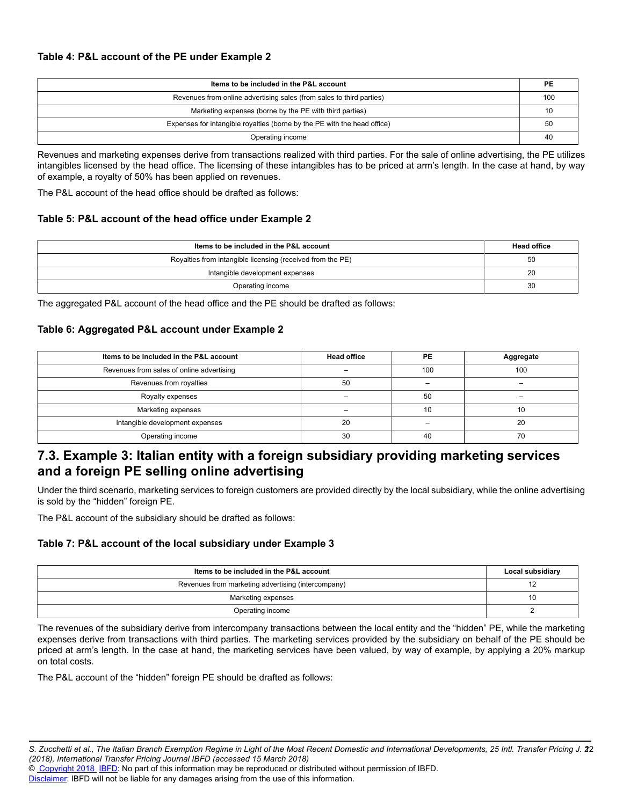| Items to be included in the P&L account                                  |     |
|--------------------------------------------------------------------------|-----|
| Revenues from online advertising sales (from sales to third parties)     | 100 |
| Marketing expenses (borne by the PE with third parties)                  |     |
| Expenses for intangible royalties (borne by the PE with the head office) |     |
| Operating income                                                         | 40  |

Revenues and marketing expenses derive from transactions realized with third parties. For the sale of online advertising, the PE utilizes intangibles licensed by the head office. The licensing of these intangibles has to be priced at arm's length. In the case at hand, by way of example, a royalty of 50% has been applied on revenues.

The P&L account of the head office should be drafted as follows:

#### **Table 5: P&L account of the head office under Example 2**

| Items to be included in the P&L account                    | <b>Head office</b> |
|------------------------------------------------------------|--------------------|
| Royalties from intangible licensing (received from the PE) | 50                 |
| Intangible development expenses                            | 20                 |
| Operating income                                           | 30                 |

The aggregated P&L account of the head office and the PE should be drafted as follows:

#### **Table 6: Aggregated P&L account under Example 2**

| Items to be included in the P&L account   | <b>Head office</b> | PE  | Aggregate |
|-------------------------------------------|--------------------|-----|-----------|
| Revenues from sales of online advertising |                    | 100 | 100       |
| Revenues from royalties                   | 50                 |     |           |
| Royalty expenses                          |                    | 50  |           |
| Marketing expenses                        |                    | 10  | 10        |
| Intangible development expenses           | 20                 |     | 20        |
| Operating income                          | 30                 | 40  | 70        |

## **7.3. Example 3: Italian entity with a foreign subsidiary providing marketing services and a foreign PE selling online advertising**

Under the third scenario, marketing services to foreign customers are provided directly by the local subsidiary, while the online advertising is sold by the "hidden" foreign PE.

The P&L account of the subsidiary should be drafted as follows:

### **Table 7: P&L account of the local subsidiary under Example 3**

| Items to be included in the P&L account            | Local subsidiary |
|----------------------------------------------------|------------------|
| Revenues from marketing advertising (intercompany) |                  |
| Marketing expenses                                 | 10               |
| Operating income                                   |                  |

The revenues of the subsidiary derive from intercompany transactions between the local entity and the "hidden" PE, while the marketing expenses derive from transactions with third parties. The marketing services provided by the subsidiary on behalf of the PE should be priced at arm's length. In the case at hand, the marketing services have been valued, by way of example, by applying a 20% markup on total costs.

The P&L account of the "hidden" foreign PE should be drafted as follows:

*S. Zucchetti et al., The Italian Branch Exemption Regime in Light of the Most Recent Domestic and International Developments, 25 Intl. Transfer Pricing J. 2* 12 *(2018), International Transfer Pricing Journal IBFD (accessed 15 March 2018)*

<sup>©</sup> [Copyright 2018](http://www.ibfd.org/Copyright-IBFD) [IBFD:](http://www.ibfd.org) No part of this information may be reproduced or distributed without permission of IBFD.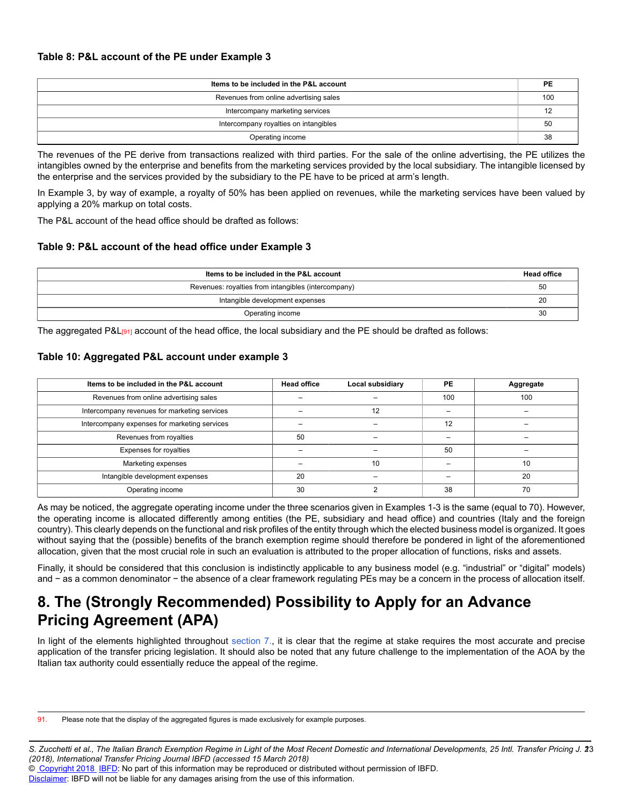#### **Table 8: P&L account of the PE under Example 3**

| Items to be included in the P&L account |    |
|-----------------------------------------|----|
| Revenues from online advertising sales  |    |
| Intercompany marketing services         |    |
| Intercompany royalties on intangibles   |    |
| Operating income                        | 38 |

The revenues of the PE derive from transactions realized with third parties. For the sale of the online advertising, the PE utilizes the intangibles owned by the enterprise and benefits from the marketing services provided by the local subsidiary. The intangible licensed by the enterprise and the services provided by the subsidiary to the PE have to be priced at arm's length.

In Example 3, by way of example, a royalty of 50% has been applied on revenues, while the marketing services have been valued by applying a 20% markup on total costs.

The P&L account of the head office should be drafted as follows:

#### **Table 9: P&L account of the head office under Example 3**

| Items to be included in the P&L account             |  |
|-----------------------------------------------------|--|
| Revenues: royalties from intangibles (intercompany) |  |
| Intangible development expenses                     |  |
| Operating income                                    |  |

The aggregated P&L<sup>[91</sup>] account of the head office, the local subsidiary and the PE should be drafted as follows:

#### **Table 10: Aggregated P&L account under example 3**

| Items to be included in the P&L account      | <b>Head office</b> | Local subsidiary | PE  | Aggregate |
|----------------------------------------------|--------------------|------------------|-----|-----------|
| Revenues from online advertising sales       |                    |                  | 100 | 100       |
| Intercompany revenues for marketing services |                    | 12               |     |           |
| Intercompany expenses for marketing services |                    |                  | 12  |           |
| Revenues from royalties                      | 50                 |                  |     |           |
| Expenses for royalties                       |                    |                  | 50  |           |
| Marketing expenses                           |                    | 10               |     | 10        |
| Intangible development expenses              | 20                 |                  |     | 20        |
| Operating income                             | 30                 |                  | 38  | 70        |

As may be noticed, the aggregate operating income under the three scenarios given in Examples 1-3 is the same (equal to 70). However, the operating income is allocated differently among entities (the PE, subsidiary and head office) and countries (Italy and the foreign country). This clearly depends on the functional and risk profiles of the entity through which the elected business model is organized. It goes without saying that the (possible) benefits of the branch exemption regime should therefore be pondered in light of the aforementioned allocation, given that the most crucial role in such an evaluation is attributed to the proper allocation of functions, risks and assets.

Finally, it should be considered that this conclusion is indistinctly applicable to any business model (e.g. "industrial" or "digital" models) and − as a common denominator − the absence of a clear framework regulating PEs may be a concern in the process of allocation itself.

# **8. The (Strongly Recommended) Possibility to Apply for an Advance Pricing Agreement (APA)**

In light of the elements highlighted throughout [section 7.](http://online.ibfd.org/kbase/#topic=doc&url=/linkresolver/static/itpj_2018_02_it_1_s_7&&WT.z_nav=crosslinks), it is clear that the regime at stake requires the most accurate and precise application of the transfer pricing legislation. It should also be noted that any future challenge to the implementation of the AOA by the Italian tax authority could essentially reduce the appeal of the regime.

91. Please note that the display of the aggregated figures is made exclusively for example purposes.

© [Copyright 2018](http://www.ibfd.org/Copyright-IBFD) [IBFD:](http://www.ibfd.org) No part of this information may be reproduced or distributed without permission of IBFD.

*S. Zucchetti et al., The Italian Branch Exemption Regime in Light of the Most Recent Domestic and International Developments, 25 Intl. Transfer Pricing J. 2* 13 *(2018), International Transfer Pricing Journal IBFD (accessed 15 March 2018)*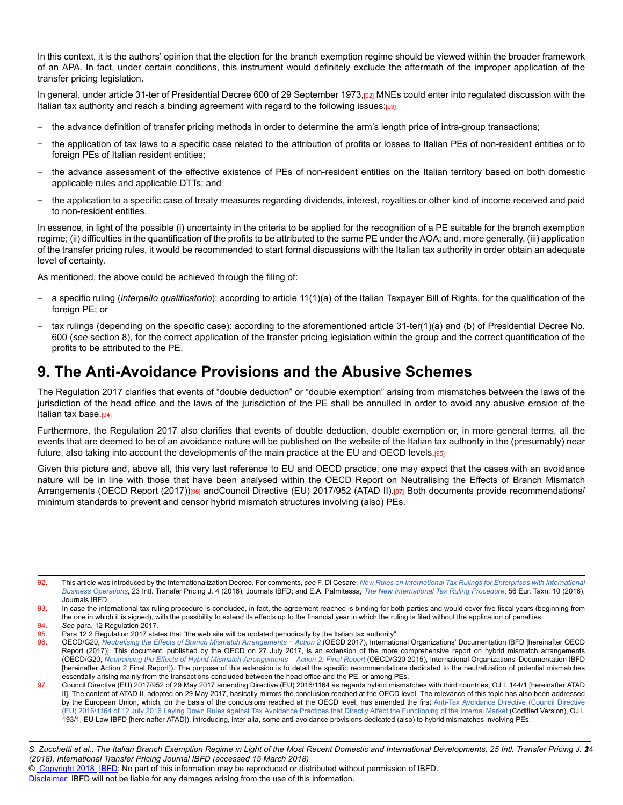In this context, it is the authors' opinion that the election for the branch exemption regime should be viewed within the broader framework of an APA. In fact, under certain conditions, this instrument would definitely exclude the aftermath of the improper application of the transfer pricing legislation.

In general, under article 31-ter of Presidential Decree 600 of 29 September 1973,[92] MNEs could enter into regulated discussion with the Italian tax authority and reach a binding agreement with regard to the following issues:[93]

- the advance definition of transfer pricing methods in order to determine the arm's length price of intra-group transactions;
- the application of tax laws to a specific case related to the attribution of profits or losses to Italian PEs of non-resident entities or to foreign PEs of Italian resident entities;
- the advance assessment of the effective existence of PEs of non-resident entities on the Italian territory based on both domestic applicable rules and applicable DTTs; and
- the application to a specific case of treaty measures regarding dividends, interest, royalties or other kind of income received and paid to non-resident entities.

In essence, in light of the possible (i) uncertainty in the criteria to be applied for the recognition of a PE suitable for the branch exemption regime; (ii) difficulties in the quantification of the profits to be attributed to the same PE under the AOA; and, more generally, (iii) application of the transfer pricing rules, it would be recommended to start formal discussions with the Italian tax authority in order obtain an adequate level of certainty.

As mentioned, the above could be achieved through the filing of:

- a specific ruling (*interpello qualificatorio*): according to article 11(1)(a) of the Italian Taxpayer Bill of Rights, for the qualification of the foreign PE; or
- tax rulings (depending on the specific case): according to the aforementioned article 31-ter(1)(a) and (b) of Presidential Decree No. 600 (*see* section 8), for the correct application of the transfer pricing legislation within the group and the correct quantification of the profits to be attributed to the PE.

# **9. The Anti-Avoidance Provisions and the Abusive Schemes**

The Regulation 2017 clarifies that events of "double deduction" or "double exemption" arising from mismatches between the laws of the jurisdiction of the head office and the laws of the jurisdiction of the PE shall be annulled in order to avoid any abusive erosion of the Italian tax base.<sup>[94]</sup>

Furthermore, the Regulation 2017 also clarifies that events of double deduction, double exemption or, in more general terms, all the events that are deemed to be of an avoidance nature will be published on the website of the Italian tax authority in the (presumably) near future, also taking into account the developments of the main practice at the EU and OECD levels.[95]

Given this picture and, above all, this very last reference to EU and OECD practice, one may expect that the cases with an avoidance nature will be in line with those that have been analysed within the OECD Report on Neutralising the Effects of Branch Mismatch Arrangements (OECD Report (2017))<sup>[96]</sup> andCouncil Directive (EU) 2017/952 (ATAD II).<sup>[97]</sup> Both documents provide recommendations/ minimum standards to prevent and censor hybrid mismatch structures involving (also) PEs.

<sup>92.</sup> This article was introduced by the Internationalization Decree. For comments, *see* F. Di Cesare, *[New Rules on International Tax Rulings for Enterprises with International](http://online.ibfd.org/kbase/#topic=doc&url=/linkresolver/static/itpj_2016_04_it_1&&WT.z_nav=crosslinks) [Business Operations](http://online.ibfd.org/kbase/#topic=doc&url=/linkresolver/static/itpj_2016_04_it_1&&WT.z_nav=crosslinks)*, 23 Intl. Transfer Pricing J. 4 (2016), Journals IBFD; and E.A. Palmitessa, *[The New International Tax Ruling Procedure](http://online.ibfd.org/kbase/#topic=doc&url=/linkresolver/static/et_2016_10_it_1&&WT.z_nav=crosslinks)*, 56 Eur. Taxn. 10 (2016), Journals IBFD.

<sup>93.</sup> In case the international tax ruling procedure is concluded, in fact, the agreement reached is binding for both parties and would cover five fiscal years (beginning from the one in which it is signed), with the possibility to extend its effects up to the financial year in which the ruling is filed without the application of penalties.

<sup>94.</sup> *See* para. 12 Regulation 2017. 95. Para 12.2 Regulation 2017 states that "the web site will be updated periodically by the Italian tax authority".<br>96. CECD/G20, Neutralising the Effects of Branch Mismatch Arrangements – Action 2 (OECD 2017), Internatio

<sup>96.</sup> OECD/G20, *[Neutralising the Effects of Branch Mismatch Arrangements − Action 2](http://online.ibfd.org/kbase/#topic=doc&url=/linkresolver/static/oecd_neutralising_the_effects_of_branch_mismatch_arrangements_2017&&WT.z_nav=crosslinks)* (OECD 2017), International Organizations' Documentation IBFD [hereinafter OECD Report (2017)]. This document, published by the OECD on 27 July 2017, is an extension of the more comprehensive report on hybrid mismatch arrangements (OECD/G20, *[Neutralising the Effects of Hybrid Mismatch Arrangements – Action 2: Final Report](http://online.ibfd.org/kbase/#topic=doc&url=/linkresolver/static/oecd_beps_action_2_final_report_2015&&WT.z_nav=crosslinks)* (OECD/G20 2015), International Organizations' Documentation IBFD [hereinafter Action 2 Final Report]). The purpose of this extension is to detail the specific recommendations dedicated to the neutralization of potential mismatches essentially arising mainly from the transactions concluded between the head office and the PE, or among PEs.

<sup>97.</sup> Council Directive (EU) 2017/952 of 29 May 2017 amending Directive (EU) 2016/1164 as regards hybrid mismatches with third countries, OJ L 144/1 [hereinafter ATAD II]. The content of ATAD II, adopted on 29 May 2017, basically mirrors the conclusion reached at the OECD level. The relevance of this topic has also been addressed by the European Union, which, on the basis of the conclusions reached at the OECD level, has amended the first [Anti-Tax Avoidance Directive \(Council Directive](http://online.ibfd.org/kbase/#topic=doc&url=/linkresolver/static/tt_e2_00_eng_2016_tt&&WT.z_nav=crosslinks) [\(EU\) 2016/1164 of 12 July 2016 Laying Down Rules against Tax Avoidance Practices that Directly Affect the Functioning of the Internal Market](http://online.ibfd.org/kbase/#topic=doc&url=/linkresolver/static/tt_e2_00_eng_2016_tt&&WT.z_nav=crosslinks) (Codified Version), OJ L 193/1, EU Law IBFD [hereinafter ATAD]), introducing, inter alia, some anti-avoidance provisions dedicated (also) to hybrid mismatches involving PEs.

*S. Zucchetti et al., The Italian Branch Exemption Regime in Light of the Most Recent Domestic and International Developments, 25 Intl. Transfer Pricing J. 2* 14 *(2018), International Transfer Pricing Journal IBFD (accessed 15 March 2018)*

<sup>©</sup> [Copyright 2018](http://www.ibfd.org/Copyright-IBFD) [IBFD:](http://www.ibfd.org) No part of this information may be reproduced or distributed without permission of IBFD.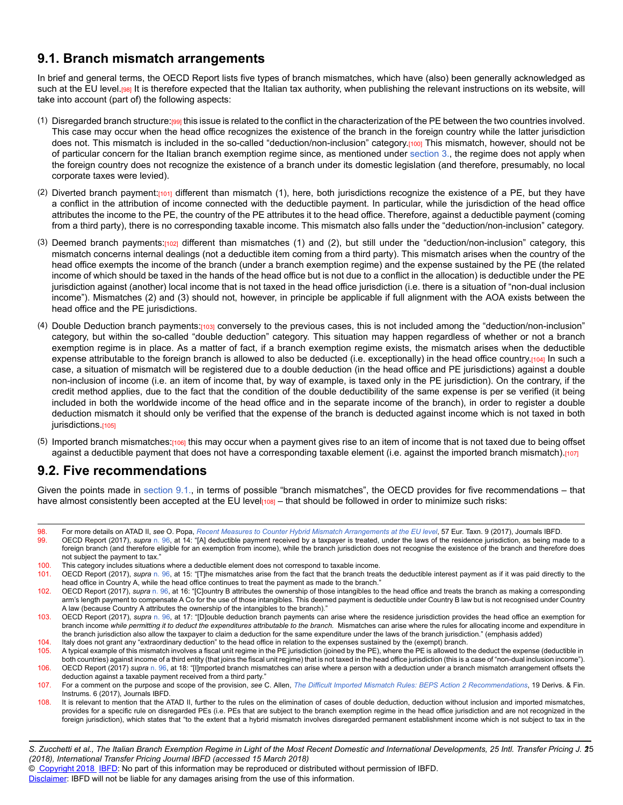## **9.1. Branch mismatch arrangements**

In brief and general terms, the OECD Report lists five types of branch mismatches, which have (also) been generally acknowledged as such at the EU level.[98] It is therefore expected that the Italian tax authority, when publishing the relevant instructions on its website, will take into account (part of) the following aspects:

- (1) Disregarded branch structure:[99] this issue is related to the conflict in the characterization of the PE between the two countries involved. This case may occur when the head office recognizes the existence of the branch in the foreign country while the latter jurisdiction does not. This mismatch is included in the so-called "deduction/non-inclusion" category.[100] This mismatch, however, should not be of particular concern for the Italian branch exemption regime since, as mentioned under [section 3.,](http://online.ibfd.org/kbase/#topic=doc&url=/linkresolver/static/itpj_2018_02_it_1_s_3&&WT.z_nav=crosslinks) the regime does not apply when the foreign country does not recognize the existence of a branch under its domestic legislation (and therefore, presumably, no local corporate taxes were levied).
- (2) Diverted branch payment: $1011$  different than mismatch (1), here, both jurisdictions recognize the existence of a PE, but they have a conflict in the attribution of income connected with the deductible payment. In particular, while the jurisdiction of the head office attributes the income to the PE, the country of the PE attributes it to the head office. Therefore, against a deductible payment (coming from a third party), there is no corresponding taxable income. This mismatch also falls under the "deduction/non-inclusion" category.
- (3) Deemed branch payments:[102] different than mismatches (1) and (2), but still under the "deduction/non-inclusion" category, this mismatch concerns internal dealings (not a deductible item coming from a third party). This mismatch arises when the country of the head office exempts the income of the branch (under a branch exemption regime) and the expense sustained by the PE (the related income of which should be taxed in the hands of the head office but is not due to a conflict in the allocation) is deductible under the PE jurisdiction against (another) local income that is not taxed in the head office jurisdiction (i.e. there is a situation of "non-dual inclusion income"). Mismatches (2) and (3) should not, however, in principle be applicable if full alignment with the AOA exists between the head office and the PE jurisdictions.
- (4) Double Deduction branch payments:[103] conversely to the previous cases, this is not included among the "deduction/non-inclusion" category, but within the so-called "double deduction" category. This situation may happen regardless of whether or not a branch exemption regime is in place. As a matter of fact, if a branch exemption regime exists, the mismatch arises when the deductible expense attributable to the foreign branch is allowed to also be deducted (i.e. exceptionally) in the head office country.[104] In such a case, a situation of mismatch will be registered due to a double deduction (in the head office and PE jurisdictions) against a double non-inclusion of income (i.e. an item of income that, by way of example, is taxed only in the PE jurisdiction). On the contrary, if the credit method applies, due to the fact that the condition of the double deductibility of the same expense is per se verified (it being included in both the worldwide income of the head office and in the separate income of the branch), in order to register a double deduction mismatch it should only be verified that the expense of the branch is deducted against income which is not taxed in both jurisdictions.[105]
- (5) Imported branch mismatches:[106] this may occur when a payment gives rise to an item of income that is not taxed due to being offset against a deductible payment that does not have a corresponding taxable element (i.e. against the imported branch mismatch).[107]

### **9.2. Five recommendations**

Given the points made in [section 9.1.,](http://online.ibfd.org/kbase/#topic=doc&url=/linkresolver/static/itpj_2018_02_it_1_s_9_1&&WT.z_nav=crosslinks) in terms of possible "branch mismatches", the OECD provides for five recommendations – that have almost consistently been accepted at the EU level $[108]$  – that should be followed in order to minimize such risks:

98. For more details on ATAD II, *see* O. Popa, *[Recent Measures to Counter Hybrid Mismatch Arrangements at the EU level](http://online.ibfd.org/kbase/#topic=doc&url=/linkresolver/static/et_2017_09_e2_1&&WT.z_nav=crosslinks)*, 57 Eur. Taxn. 9 (2017), Journals IBFD.

- 99. OECD Report (2017), *supra* [n. 96](http://online.ibfd.org/kbase/#topic=doc&url=/linkresolver/static/itpj_2018_02_it_1_fn_96&&WT.z_nav=crosslinks), at 14: "[A] deductible payment received by a taxpayer is treated, under the laws of the residence jurisdiction, as being made to a foreign branch (and therefore eligible for an exemption from income), while the branch jurisdiction does not recognise the existence of the branch and therefore does not subject the payment to tax."
- 100. This category includes situations where a deductible element does not correspond to taxable income.
- 101. OECD Report (2017), *supra* [n. 96,](http://online.ibfd.org/kbase/#topic=doc&url=/linkresolver/static/itpj_2018_02_it_1_fn_96&&WT.z_nav=crosslinks) at 15: "[T]he mismatches arise from the fact that the branch treats the deductible interest payment as if it was paid directly to the head office in Country A, while the head office continues to treat the payment as made to the branch."
- 102. OECD Report (2017), *supra* [n. 96](http://online.ibfd.org/kbase/#topic=doc&url=/linkresolver/static/itpj_2018_02_it_1_fn_96&&WT.z_nav=crosslinks), at 16: "[C]ountry B attributes the ownership of those intangibles to the head office and treats the branch as making a corresponding arm's length payment to compensate A Co for the use of those intangibles. This deemed payment is deductible under Country B law but is not recognised under Country A law (because Country A attributes the ownership of the intangibles to the branch)."
- 103. OECD Report (2017), *supra* [n. 96](http://online.ibfd.org/kbase/#topic=doc&url=/linkresolver/static/itpj_2018_02_it_1_fn_96&&WT.z_nav=crosslinks), at 17: "[D]ouble deduction branch payments can arise where the residence jurisdiction provides the head office an exemption for branch income *while permitting it to deduct the expenditures attributable to the branch.* Mismatches can arise where the rules for allocating income and expenditure in the branch jurisdiction also allow the taxpayer to claim a deduction for the same expenditure under the laws of the branch jurisdiction." (emphasis added)
- 104. Italy does not grant any "extraordinary deduction" to the head office in relation to the expenses sustained by the (exempt) branch.
- 105. A typical example of this mismatch involves a fiscal unit regime in the PE jurisdiction (joined by the PE), where the PE is allowed to the deduct the expense (deductible in both countries) against income of a third entity (that joins the fiscal unit regime) that is not taxed in the head office jurisdiction (this is a case of "non-dual inclusion income"). 106. OECD Report (2017) *supra* [n. 96,](http://online.ibfd.org/kbase/#topic=doc&url=/linkresolver/static/itpj_2018_02_it_1_fn_96&&WT.z_nav=crosslinks) at 18: "[I]mported branch mismatches can arise where a person with a deduction under a branch mismatch arrangement offsets the deduction against a taxable payment received from a third party."
- 107. For a comment on the purpose and scope of the provision, *see* C. Allen, *[The Difficult Imported Mismatch Rules: BEPS Action 2 Recommendations](http://online.ibfd.org/kbase/#topic=doc&url=/linkresolver/static/dfi_2017_06_int_1&&WT.z_nav=crosslinks)*, 19 Derivs. & Fin. Instrums. 6 (2017), Journals IBFD.
- 108. It is relevant to mention that the ATAD II, further to the rules on the elimination of cases of double deduction, deduction without inclusion and imported mismatches, provides for a specific rule on disregarded PEs (i.e. PEs that are subject to the branch exemption regime in the head office jurisdiction and are not recognized in the foreign jurisdiction), which states that "to the extent that a hybrid mismatch involves disregarded permanent establishment income which is not subject to tax in the

*S. Zucchetti et al., The Italian Branch Exemption Regime in Light of the Most Recent Domestic and International Developments, 25 Intl. Transfer Pricing J. 2* 15 *(2018), International Transfer Pricing Journal IBFD (accessed 15 March 2018)*

© [Copyright 2018](http://www.ibfd.org/Copyright-IBFD) [IBFD:](http://www.ibfd.org) No part of this information may be reproduced or distributed without permission of IBFD.